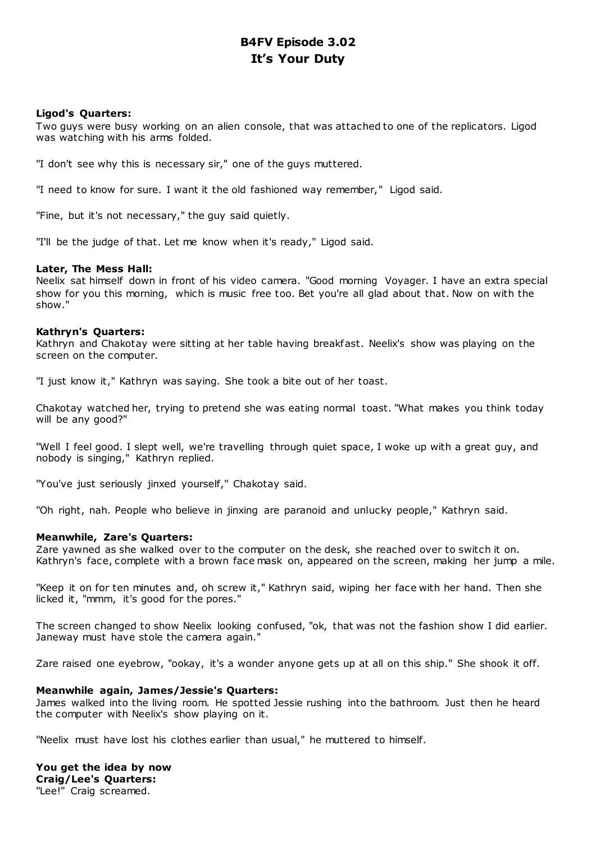# **B4FV Episode 3.02 It's Your Duty**

# **Ligod's Quarters:**

Two guys were busy working on an alien console, that was attached to one of the replicators. Ligod was watching with his arms folded.

"I don't see why this is necessary sir," one of the guys muttered.

"I need to know for sure. I want it the old fashioned way remember," Ligod said.

"Fine, but it's not necessary," the guy said quietly.

"I'll be the judge of that. Let me know when it's ready," Ligod said.

# **Later, The Mess Hall:**

Neelix sat himself down in front of his video camera. "Good morning Voyager. I have an extra special show for you this morning, which is music free too. Bet you're all glad about that. Now on with the show."

# **Kathryn's Quarters:**

Kathryn and Chakotay were sitting at her table having breakfast. Neelix's show was playing on the screen on the computer.

"I just know it," Kathryn was saying. She took a bite out of her toast.

Chakotay watched her, trying to pretend she was eating normal toast. "What makes you think today will be any good?"

"Well I feel good. I slept well, we're travelling through quiet space, I woke up with a great guy, and nobody is singing," Kathryn replied.

"You've just seriously jinxed yourself," Chakotay said.

"Oh right, nah. People who believe in jinxing are paranoid and unlucky people," Kathryn said.

# **Meanwhile, Zare's Quarters:**

Zare yawned as she walked over to the computer on the desk, she reached over to switch it on. Kathryn's face, complete with a brown face mask on, appeared on the screen, making her jump a mile.

"Keep it on for ten minutes and, oh screw it," Kathryn said, wiping her face with her hand. Then she licked it, "mmm, it's good for the pores."

The screen changed to show Neelix looking confused, "ok, that was not the fashion show I did earlier. Janeway must have stole the camera again."

Zare raised one eyebrow, "ookay, it's a wonder anyone gets up at all on this ship." She shook it off.

# **Meanwhile again, James/Jessie's Quarters:**

James walked into the living room. He spotted Jessie rushing into the bathroom. Just then he heard the computer with Neelix's show playing on it.

"Neelix must have lost his clothes earlier than usual," he muttered to himself.

**You get the idea by now Craig/Lee's Quarters:** "Lee!" Craig screamed.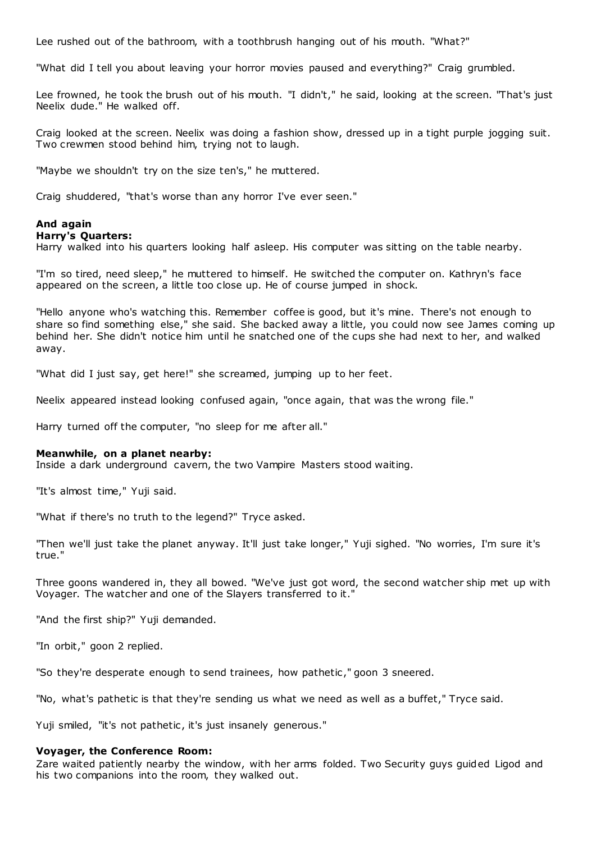Lee rushed out of the bathroom, with a toothbrush hanging out of his mouth. "What?"

"What did I tell you about leaving your horror movies paused and everything?" Craig grumbled.

Lee frowned, he took the brush out of his mouth. "I didn't," he said, looking at the screen. "That's just Neelix dude." He walked off.

Craig looked at the screen. Neelix was doing a fashion show, dressed up in a tight purple jogging suit. Two crewmen stood behind him, trying not to laugh.

"Maybe we shouldn't try on the size ten's," he muttered.

Craig shuddered, "that's worse than any horror I've ever seen."

# **And again**

#### **Harry's Quarters:**

Harry walked into his quarters looking half asleep. His computer was sitting on the table nearby.

"I'm so tired, need sleep," he muttered to himself. He switched the computer on. Kathryn's face appeared on the screen, a little too close up. He of course jumped in shock.

"Hello anyone who's watching this. Remember coffee is good, but it's mine. There's not enough to share so find something else," she said. She backed away a little, you could now see James coming up behind her. She didn't notice him until he snatched one of the cups she had next to her, and walked away.

"What did I just say, get here!" she screamed, jumping up to her feet.

Neelix appeared instead looking confused again, "once again, that was the wrong file."

Harry turned off the computer, "no sleep for me after all."

#### **Meanwhile, on a planet nearby:**

Inside a dark underground cavern, the two Vampire Masters stood waiting.

"It's almost time," Yuji said.

"What if there's no truth to the legend?" Tryce asked.

"Then we'll just take the planet anyway. It'll just take longer," Yuji sighed. "No worries, I'm sure it's true."

Three goons wandered in, they all bowed. "We've just got word, the second watcher ship met up with Voyager. The watcher and one of the Slayers transferred to it."

"And the first ship?" Yuji demanded.

"In orbit," goon 2 replied.

"So they're desperate enough to send trainees, how pathetic ," goon 3 sneered.

"No, what's pathetic is that they're sending us what we need as well as a buffet," Tryce said.

Yuji smiled, "it's not pathetic, it's just insanely generous."

#### **Voyager, the Conference Room:**

Zare waited patiently nearby the window, with her arms folded. Two Security guys guided Ligod and his two companions into the room, they walked out.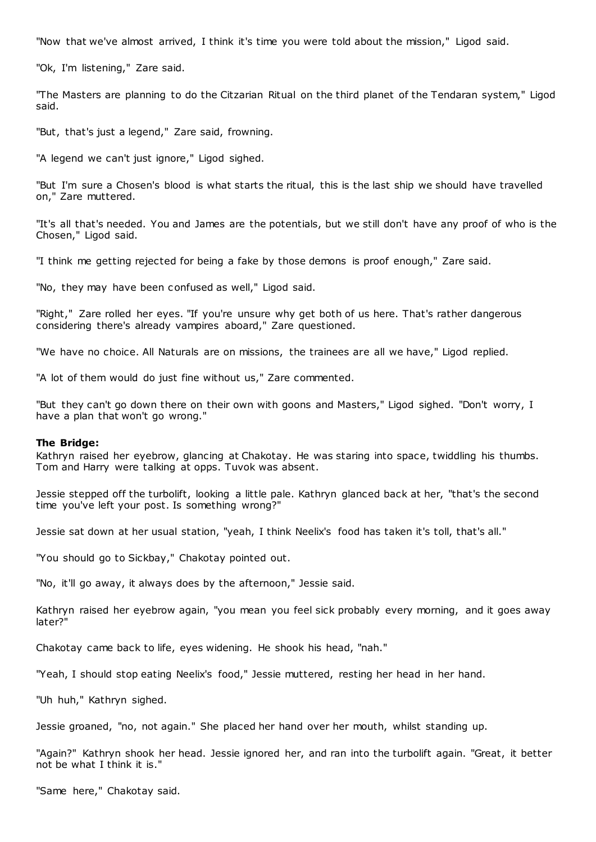"Now that we've almost arrived, I think it's time you were told about the mission," Ligod said.

"Ok, I'm listening," Zare said.

"The Masters are planning to do the Citzarian Ritual on the third planet of the Tendaran system," Ligod said.

"But, that's just a legend," Zare said, frowning.

"A legend we can't just ignore," Ligod sighed.

"But I'm sure a Chosen's blood is what starts the ritual, this is the last ship we should have travelled on," Zare muttered.

"It's all that's needed. You and James are the potentials, but we still don't have any proof of who is the Chosen," Ligod said.

"I think me getting rejected for being a fake by those demons is proof enough," Zare said.

"No, they may have been confused as well," Ligod said.

"Right," Zare rolled her eyes. "If you're unsure why get both of us here. That's rather dangerous considering there's already vampires aboard," Zare questioned.

"We have no choice. All Naturals are on missions, the trainees are all we have," Ligod replied.

"A lot of them would do just fine without us," Zare commented.

"But they can't go down there on their own with goons and Masters," Ligod sighed. "Don't worry, I have a plan that won't go wrong."

#### **The Bridge:**

Kathryn raised her eyebrow, glancing at Chakotay. He was staring into space, twiddling his thumbs. Tom and Harry were talking at opps. Tuvok was absent.

Jessie stepped off the turbolift, looking a little pale. Kathryn glanced back at her, "that's the second time you've left your post. Is something wrong?"

Jessie sat down at her usual station, "yeah, I think Neelix's food has taken it's toll, that's all."

"You should go to Sickbay," Chakotay pointed out.

"No, it'll go away, it always does by the afternoon," Jessie said.

Kathryn raised her eyebrow again, "you mean you feel sick probably every morning, and it goes away later?"

Chakotay came back to life, eyes widening. He shook his head, "nah."

"Yeah, I should stop eating Neelix's food," Jessie muttered, resting her head in her hand.

"Uh huh," Kathryn sighed.

Jessie groaned, "no, not again." She placed her hand over her mouth, whilst standing up.

"Again?" Kathryn shook her head. Jessie ignored her, and ran into the turbolift again. "Great, it better not be what I think it is."

"Same here," Chakotay said.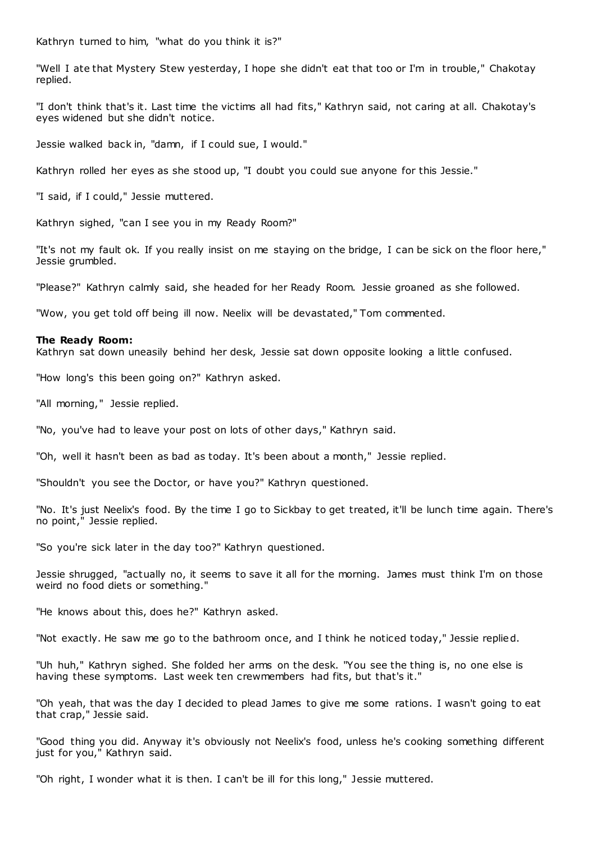Kathryn turned to him, "what do you think it is?"

"Well I ate that Mystery Stew yesterday, I hope she didn't eat that too or I'm in trouble," Chakotay replied.

"I don't think that's it. Last time the victims all had fits," Kathryn said, not caring at all. Chakotay's eyes widened but she didn't notice.

Jessie walked back in, "damn, if I could sue, I would."

Kathryn rolled her eyes as she stood up, "I doubt you could sue anyone for this Jessie."

"I said, if I could," Jessie muttered.

Kathryn sighed, "can I see you in my Ready Room?"

"It's not my fault ok. If you really insist on me staying on the bridge, I can be sick on the floor here," Jessie grumbled.

"Please?" Kathryn calmly said, she headed for her Ready Room. Jessie groaned as she followed.

"Wow, you get told off being ill now. Neelix will be devastated," Tom commented.

## **The Ready Room:**

Kathryn sat down uneasily behind her desk, Jessie sat down opposite looking a little confused.

"How long's this been going on?" Kathryn asked.

"All morning," Jessie replied.

"No, you've had to leave your post on lots of other days," Kathryn said.

"Oh, well it hasn't been as bad as today. It's been about a month," Jessie replied.

"Shouldn't you see the Doctor, or have you?" Kathryn questioned.

"No. It's just Neelix's food. By the time I go to Sickbay to get treated, it'll be lunch time again. There's no point," Jessie replied.

"So you're sick later in the day too?" Kathryn questioned.

Jessie shrugged, "actually no, it seems to save it all for the morning. James must think I'm on those weird no food diets or something."

"He knows about this, does he?" Kathryn asked.

"Not exactly. He saw me go to the bathroom once, and I think he noticed today," Jessie replied.

"Uh huh," Kathryn sighed. She folded her arms on the desk. "You see the thing is, no one else is having these symptoms. Last week ten crewmembers had fits, but that's it."

"Oh yeah, that was the day I decided to plead James to give me some rations. I wasn't going to eat that crap," Jessie said.

"Good thing you did. Anyway it's obviously not Neelix's food, unless he's cooking something different just for you," Kathryn said.

"Oh right, I wonder what it is then. I can't be ill for this long," Jessie muttered.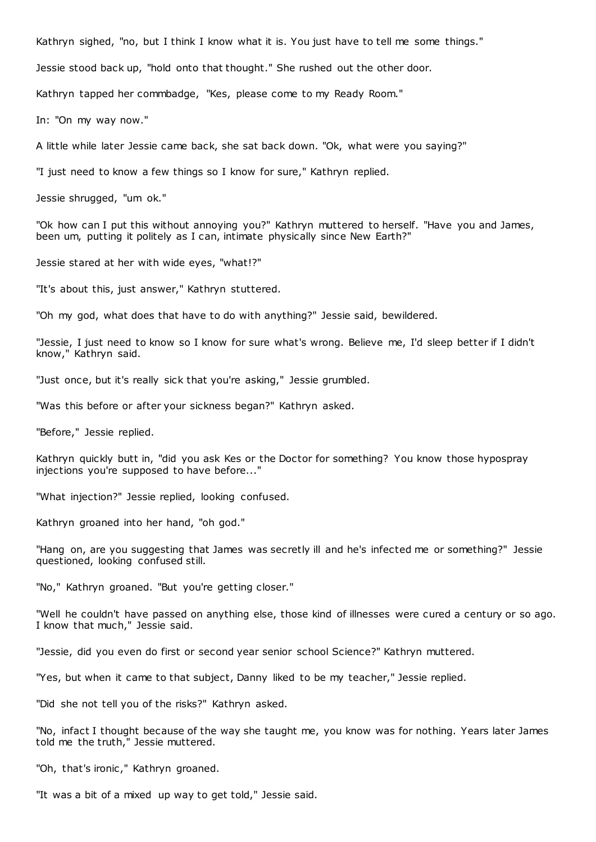Kathryn sighed, "no, but I think I know what it is. You just have to tell me some things."

Jessie stood back up, "hold onto that thought." She rushed out the other door.

Kathryn tapped her commbadge, "Kes, please come to my Ready Room."

In: "On my way now."

A little while later Jessie came back, she sat back down. "Ok, what were you saying?"

"I just need to know a few things so I know for sure," Kathryn replied.

Jessie shrugged, "um ok."

"Ok how can I put this without annoying you?" Kathryn muttered to herself. "Have you and James, been um, putting it politely as I can, intimate physically since New Earth?"

Jessie stared at her with wide eyes, "what!?"

"It's about this, just answer," Kathryn stuttered.

"Oh my god, what does that have to do with anything?" Jessie said, bewildered.

"Jessie, I just need to know so I know for sure what's wrong. Believe me, I'd sleep better if I didn't know," Kathryn said.

"Just once, but it's really sick that you're asking," Jessie grumbled.

"Was this before or after your sickness began?" Kathryn asked.

"Before," Jessie replied.

Kathryn quickly butt in, "did you ask Kes or the Doctor for something? You know those hypospray injections you're supposed to have before..."

"What injection?" Jessie replied, looking confused.

Kathryn groaned into her hand, "oh god."

"Hang on, are you suggesting that James was secretly ill and he's infected me or something?" Jessie questioned, looking confused still.

"No," Kathryn groaned. "But you're getting closer."

"Well he couldn't have passed on anything else, those kind of illnesses were cured a century or so ago. I know that much," Jessie said.

"Jessie, did you even do first or second year senior school Science?" Kathryn muttered.

"Yes, but when it came to that subject, Danny liked to be my teacher," Jessie replied.

"Did she not tell you of the risks?" Kathryn asked.

"No, infact I thought because of the way she taught me, you know was for nothing. Years later James told me the truth," Jessie muttered.

"Oh, that's ironic ," Kathryn groaned.

"It was a bit of a mixed up way to get told," Jessie said.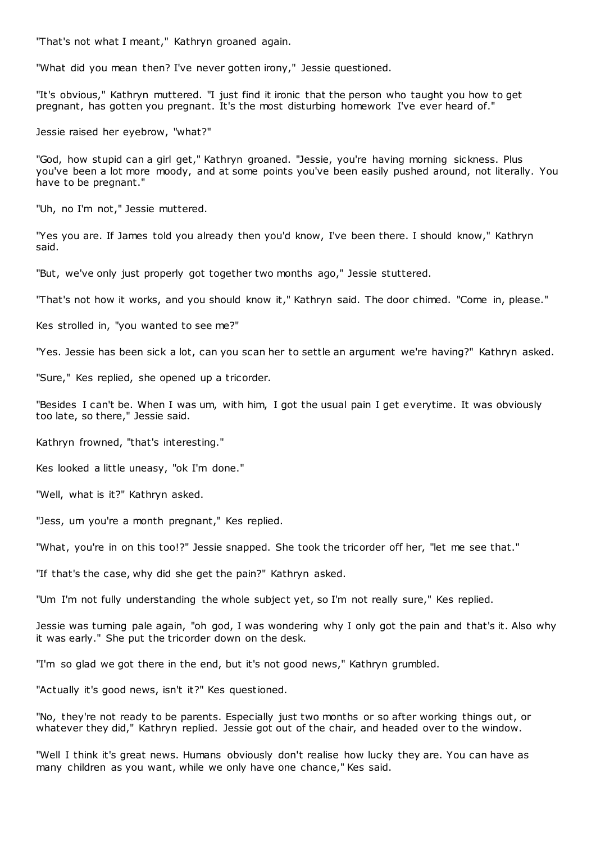"That's not what I meant," Kathryn groaned again.

"What did you mean then? I've never gotten irony," Jessie questioned.

"It's obvious," Kathryn muttered. "I just find it ironic that the person who taught you how to get pregnant, has gotten you pregnant. It's the most disturbing homework I've ever heard of."

Jessie raised her eyebrow, "what?"

"God, how stupid can a girl get," Kathryn groaned. "Jessie, you're having morning sickness. Plus you've been a lot more moody, and at some points you've been easily pushed around, not literally. You have to be pregnant."

"Uh, no I'm not," Jessie muttered.

"Yes you are. If James told you already then you'd know, I've been there. I should know," Kathryn said.

"But, we've only just properly got together two months ago," Jessie stuttered.

"That's not how it works, and you should know it," Kathryn said. The door chimed. "Come in, please."

Kes strolled in, "you wanted to see me?"

"Yes. Jessie has been sick a lot, can you scan her to settle an argument we're having?" Kathryn asked.

"Sure," Kes replied, she opened up a tricorder.

"Besides I can't be. When I was um, with him, I got the usual pain I get everytime. It was obviously too late, so there," Jessie said.

Kathryn frowned, "that's interesting."

Kes looked a little uneasy, "ok I'm done."

"Well, what is it?" Kathryn asked.

"Jess, um you're a month pregnant," Kes replied.

"What, you're in on this too!?" Jessie snapped. She took the tricorder off her, "let me see that."

"If that's the case, why did she get the pain?" Kathryn asked.

"Um I'm not fully understanding the whole subject yet, so I'm not really sure," Kes replied.

Jessie was turning pale again, "oh god, I was wondering why I only got the pain and that's it. Also why it was early." She put the tricorder down on the desk.

"I'm so glad we got there in the end, but it's not good news," Kathryn grumbled.

"Actually it's good news, isn't it?" Kes questioned.

"No, they're not ready to be parents. Especially just two months or so after working things out, or whatever they did," Kathryn replied. Jessie got out of the chair, and headed over to the window.

"Well I think it's great news. Humans obviously don't realise how lucky they are. You can have as many children as you want, while we only have one chance," Kes said.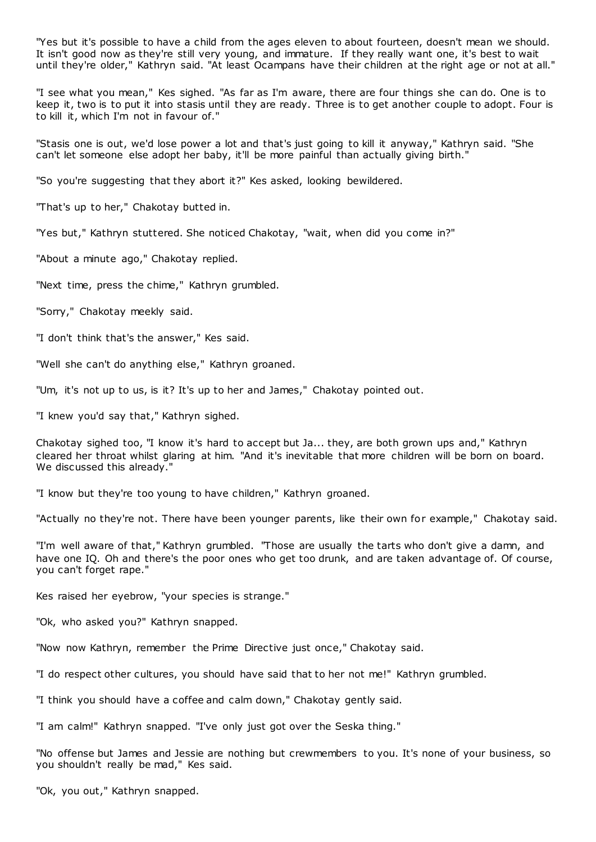"Yes but it's possible to have a child from the ages eleven to about fourteen, doesn't mean we should. It isn't good now as they're still very young, and immature. If they really want one, it's best to wait until they're older," Kathryn said. "At least Ocampans have their children at the right age or not at all."

"I see what you mean," Kes sighed. "As far as I'm aware, there are four things she can do. One is to keep it, two is to put it into stasis until they are ready. Three is to get another couple to adopt. Four is to kill it, which I'm not in favour of."

"Stasis one is out, we'd lose power a lot and that's just going to kill it anyway," Kathryn said. "She can't let someone else adopt her baby, it'll be more painful than actually giving birth."

"So you're suggesting that they abort it?" Kes asked, looking bewildered.

"That's up to her," Chakotay butted in.

"Yes but," Kathryn stuttered. She noticed Chakotay, "wait, when did you come in?"

"About a minute ago," Chakotay replied.

"Next time, press the chime," Kathryn grumbled.

"Sorry," Chakotay meekly said.

"I don't think that's the answer," Kes said.

"Well she can't do anything else," Kathryn groaned.

"Um, it's not up to us, is it? It's up to her and James," Chakotay pointed out.

"I knew you'd say that," Kathryn sighed.

Chakotay sighed too, "I know it's hard to accept but Ja... they, are both grown ups and," Kathryn cleared her throat whilst glaring at him. "And it's inevitable that more children will be born on board. We discussed this already."

"I know but they're too young to have children," Kathryn groaned.

"Actually no they're not. There have been younger parents, like their own for example," Chakotay said.

"I'm well aware of that," Kathryn grumbled. "Those are usually the tarts who don't give a damn, and have one IQ. Oh and there's the poor ones who get too drunk, and are taken advantage of. Of course, you can't forget rape."

Kes raised her eyebrow, "your species is strange."

"Ok, who asked you?" Kathryn snapped.

"Now now Kathryn, remember the Prime Directive just once," Chakotay said.

"I do respect other cultures, you should have said that to her not me!" Kathryn grumbled.

"I think you should have a coffee and calm down," Chakotay gently said.

"I am calm!" Kathryn snapped. "I've only just got over the Seska thing."

"No offense but James and Jessie are nothing but crewmembers to you. It's none of your business, so you shouldn't really be mad," Kes said.

"Ok, you out," Kathryn snapped.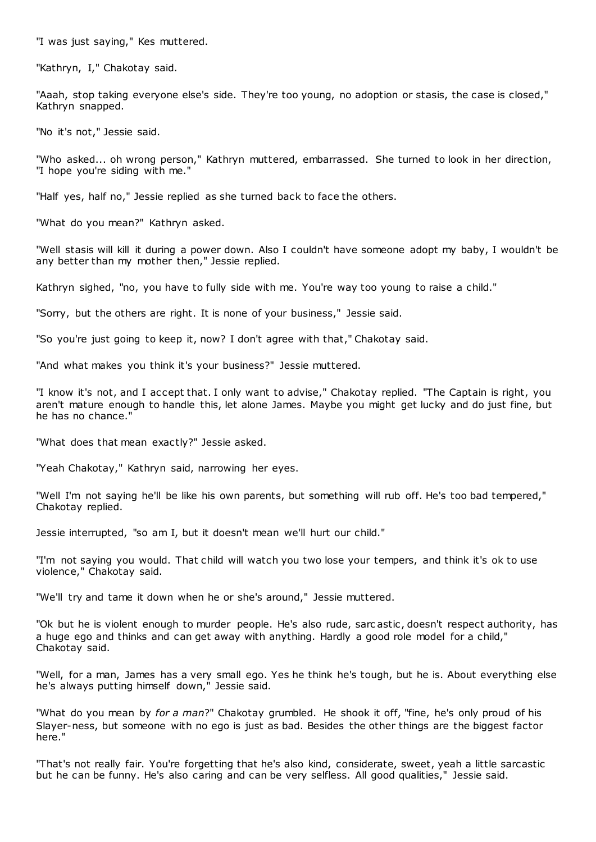"I was just saying," Kes muttered.

"Kathryn, I," Chakotay said.

"Aaah, stop taking everyone else's side. They're too young, no adoption or stasis, the case is closed," Kathryn snapped.

"No it's not," Jessie said.

"Who asked... oh wrong person," Kathryn muttered, embarrassed. She turned to look in her direction, "I hope you're siding with me."

"Half yes, half no," Jessie replied as she turned back to face the others.

"What do you mean?" Kathryn asked.

"Well stasis will kill it during a power down. Also I couldn't have someone adopt my baby, I wouldn't be any better than my mother then," Jessie replied.

Kathryn sighed, "no, you have to fully side with me. You're way too young to raise a child."

"Sorry, but the others are right. It is none of your business," Jessie said.

"So you're just going to keep it, now? I don't agree with that," Chakotay said.

"And what makes you think it's your business?" Jessie muttered.

"I know it's not, and I accept that. I only want to advise," Chakotay replied. "The Captain is right, you aren't mature enough to handle this, let alone James. Maybe you might get lucky and do just fine, but he has no chance."

"What does that mean exactly?" Jessie asked.

"Yeah Chakotay," Kathryn said, narrowing her eyes.

"Well I'm not saying he'll be like his own parents, but something will rub off. He's too bad tempered," Chakotay replied.

Jessie interrupted, "so am I, but it doesn't mean we'll hurt our child."

"I'm not saying you would. That child will watch you two lose your tempers, and think it's ok to use violence," Chakotay said.

"We'll try and tame it down when he or she's around," Jessie muttered.

"Ok but he is violent enough to murder people. He's also rude, sarc astic , doesn't respect authority, has a huge ego and thinks and can get away with anything. Hardly a good role model for a child," Chakotay said.

"Well, for a man, James has a very small ego. Yes he think he's tough, but he is. About everything else he's always putting himself down," Jessie said.

"What do you mean by *for a man*?" Chakotay grumbled. He shook it off, "fine, he's only proud of his Slayer-ness, but someone with no ego is just as bad. Besides the other things are the biggest factor here."

"That's not really fair. You're forgetting that he's also kind, considerate, sweet, yeah a little sarcastic but he can be funny. He's also caring and can be very selfless. All good qualities," Jessie said.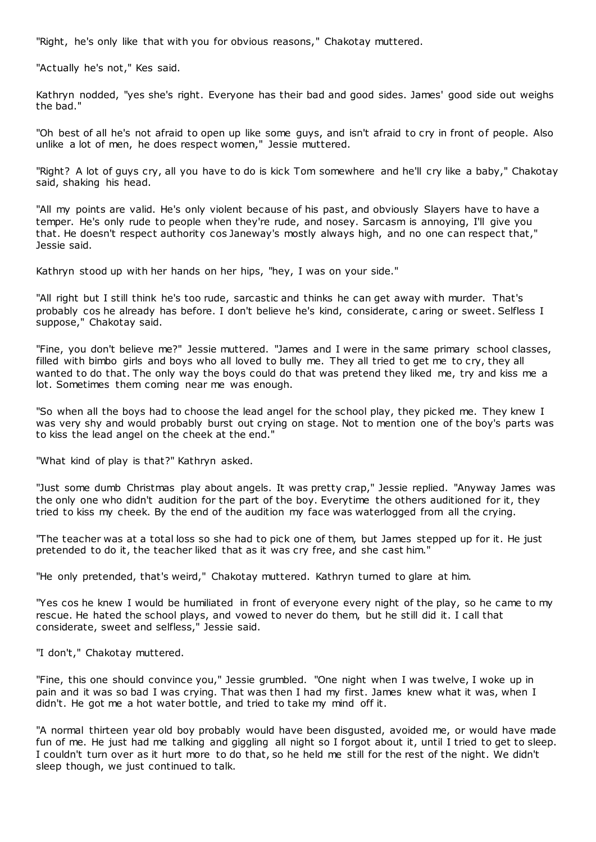"Right, he's only like that with you for obvious reasons," Chakotay muttered.

"Actually he's not," Kes said.

Kathryn nodded, "yes she's right. Everyone has their bad and good sides. James' good side out weighs the bad."

"Oh best of all he's not afraid to open up like some guys, and isn't afraid to cry in front of people. Also unlike a lot of men, he does respect women," Jessie muttered.

"Right? A lot of guys cry, all you have to do is kick Tom somewhere and he'll cry like a baby," Chakotay said, shaking his head.

"All my points are valid. He's only violent because of his past, and obviously Slayers have to have a temper. He's only rude to people when they're rude, and nosey. Sarcasm is annoying, I'll give you that. He doesn't respect authority cos Janeway's mostly always high, and no one can respect that," Jessie said.

Kathryn stood up with her hands on her hips, "hey, I was on your side."

"All right but I still think he's too rude, sarcastic and thinks he can get away with murder. That's probably cos he already has before. I don't believe he's kind, considerate, c aring or sweet. Selfless I suppose," Chakotay said.

"Fine, you don't believe me?" Jessie muttered. "James and I were in the same primary school classes, filled with bimbo girls and boys who all loved to bully me. They all tried to get me to cry, they all wanted to do that. The only way the boys could do that was pretend they liked me, try and kiss me a lot. Sometimes them coming near me was enough.

"So when all the boys had to choose the lead angel for the school play, they picked me. They knew I was very shy and would probably burst out crying on stage. Not to mention one of the boy's parts was to kiss the lead angel on the cheek at the end."

"What kind of play is that?" Kathryn asked.

"Just some dumb Christmas play about angels. It was pretty crap," Jessie replied. "Anyway James was the only one who didn't audition for the part of the boy. Everytime the others auditioned for it, they tried to kiss my cheek. By the end of the audition my face was waterlogged from all the crying.

"The teacher was at a total loss so she had to pick one of them, but James stepped up for it. He just pretended to do it, the teacher liked that as it was cry free, and she cast him."

"He only pretended, that's weird," Chakotay muttered. Kathryn turned to glare at him.

"Yes cos he knew I would be humiliated in front of everyone every night of the play, so he came to my rescue. He hated the school plays, and vowed to never do them, but he still did it. I call that considerate, sweet and selfless," Jessie said.

"I don't," Chakotay muttered.

"Fine, this one should convince you," Jessie grumbled. "One night when I was twelve, I woke up in pain and it was so bad I was crying. That was then I had my first. James knew what it was, when I didn't. He got me a hot water bottle, and tried to take my mind off it.

"A normal thirteen year old boy probably would have been disgusted, avoided me, or would have made fun of me. He just had me talking and giggling all night so I forgot about it, until I tried to get to sleep. I couldn't turn over as it hurt more to do that, so he held me still for the rest of the night. We didn't sleep though, we just continued to talk.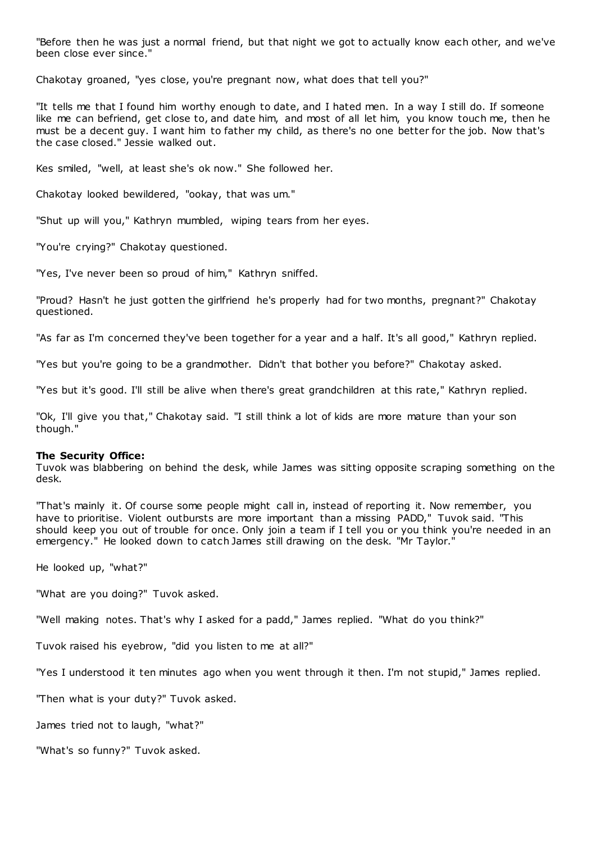"Before then he was just a normal friend, but that night we got to actually know each other, and we've been close ever since."

Chakotay groaned, "yes close, you're pregnant now, what does that tell you?"

"It tells me that I found him worthy enough to date, and I hated men. In a way I still do. If someone like me can befriend, get close to, and date him, and most of all let him, you know touch me, then he must be a decent guy. I want him to father my child, as there's no one better for the job. Now that's the case closed." Jessie walked out.

Kes smiled, "well, at least she's ok now." She followed her.

Chakotay looked bewildered, "ookay, that was um."

"Shut up will you," Kathryn mumbled, wiping tears from her eyes.

"You're crying?" Chakotay questioned.

"Yes, I've never been so proud of him," Kathryn sniffed.

"Proud? Hasn't he just gotten the girlfriend he's properly had for two months, pregnant?" Chakotay questioned.

"As far as I'm concerned they've been together for a year and a half. It's all good," Kathryn replied.

"Yes but you're going to be a grandmother. Didn't that bother you before?" Chakotay asked.

"Yes but it's good. I'll still be alive when there's great grandchildren at this rate," Kathryn replied.

"Ok, I'll give you that," Chakotay said. "I still think a lot of kids are more mature than your son though."

# **The Security Office:**

Tuvok was blabbering on behind the desk, while James was sitting opposite scraping something on the desk.

"That's mainly it. Of course some people might call in, instead of reporting it. Now remember, you have to prioritise. Violent outbursts are more important than a missing PADD," Tuvok said. "This should keep you out of trouble for once. Only join a team if I tell you or you think you're needed in an emergency." He looked down to catch James still drawing on the desk. "Mr Taylor."

He looked up, "what?"

"What are you doing?" Tuvok asked.

"Well making notes. That's why I asked for a padd," James replied. "What do you think?"

Tuvok raised his eyebrow, "did you listen to me at all?"

"Yes I understood it ten minutes ago when you went through it then. I'm not stupid," James replied.

"Then what is your duty?" Tuvok asked.

James tried not to laugh, "what?"

"What's so funny?" Tuvok asked.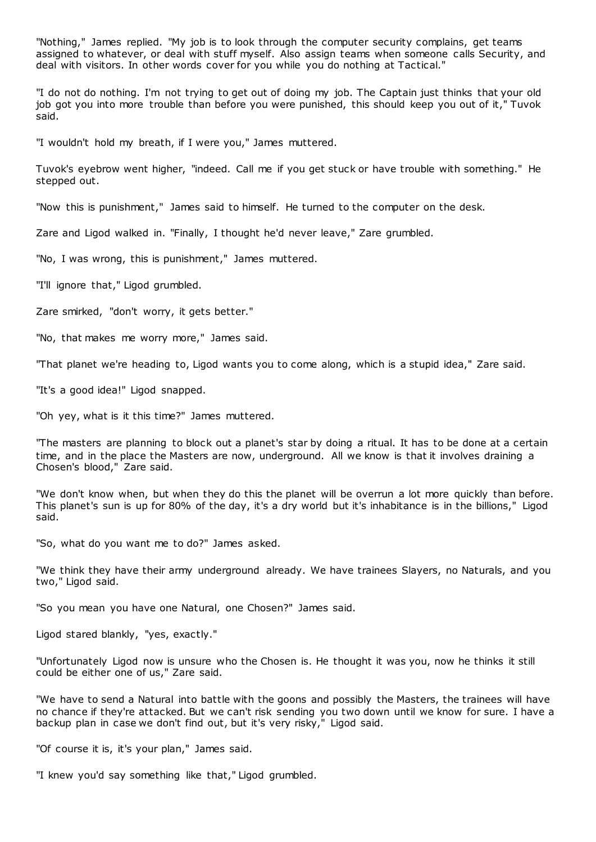"Nothing," James replied. "My job is to look through the computer security complains, get teams assigned to whatever, or deal with stuff myself. Also assign teams when someone calls Security, and deal with visitors. In other words cover for you while you do nothing at Tactical."

"I do not do nothing. I'm not trying to get out of doing my job. The Captain just thinks that your old job got you into more trouble than before you were punished, this should keep you out of it," Tuvok said.

"I wouldn't hold my breath, if I were you," James muttered.

Tuvok's eyebrow went higher, "indeed. Call me if you get stuck or have trouble with something." He stepped out.

"Now this is punishment," James said to himself. He turned to the computer on the desk.

Zare and Ligod walked in. "Finally, I thought he'd never leave," Zare grumbled.

"No, I was wrong, this is punishment," James muttered.

"I'll ignore that," Ligod grumbled.

Zare smirked, "don't worry, it gets better."

"No, that makes me worry more," James said.

"That planet we're heading to, Ligod wants you to come along, which is a stupid idea," Zare said.

"It's a good idea!" Ligod snapped.

"Oh yey, what is it this time?" James muttered.

"The masters are planning to block out a planet's star by doing a ritual. It has to be done at a certain time, and in the place the Masters are now, underground. All we know is that it involves draining a Chosen's blood," Zare said.

"We don't know when, but when they do this the planet will be overrun a lot more quickly than before. This planet's sun is up for 80% of the day, it's a dry world but it's inhabitance is in the billions," Ligod said.

"So, what do you want me to do?" James asked.

"We think they have their army underground already. We have trainees Slayers, no Naturals, and you two," Ligod said.

"So you mean you have one Natural, one Chosen?" James said.

Ligod stared blankly, "yes, exactly."

"Unfortunately Ligod now is unsure who the Chosen is. He thought it was you, now he thinks it still could be either one of us," Zare said.

"We have to send a Natural into battle with the goons and possibly the Masters, the trainees will have no chance if they're attacked. But we can't risk sending you two down until we know for sure. I have a backup plan in case we don't find out, but it's very risky," Ligod said.

"Of course it is, it's your plan," James said.

"I knew you'd say something like that," Ligod grumbled.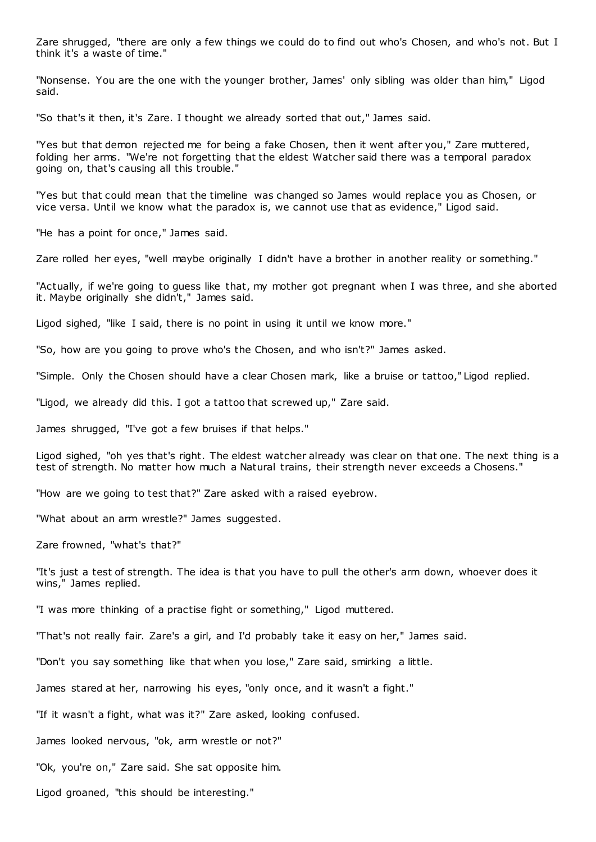Zare shrugged, "there are only a few things we could do to find out who's Chosen, and who's not. But I think it's a waste of time."

"Nonsense. You are the one with the younger brother, James' only sibling was older than him," Ligod said.

"So that's it then, it's Zare. I thought we already sorted that out," James said.

"Yes but that demon rejected me for being a fake Chosen, then it went after you," Zare muttered, folding her arms. "We're not forgetting that the eldest Watcher said there was a temporal paradox going on, that's causing all this trouble."

"Yes but that could mean that the timeline was changed so James would replace you as Chosen, or vice versa. Until we know what the paradox is, we cannot use that as evidence," Ligod said.

"He has a point for once," James said.

Zare rolled her eyes, "well maybe originally I didn't have a brother in another reality or something."

"Actually, if we're going to guess like that, my mother got pregnant when I was three, and she aborted it. Maybe originally she didn't," James said.

Ligod sighed, "like I said, there is no point in using it until we know more."

"So, how are you going to prove who's the Chosen, and who isn't?" James asked.

"Simple. Only the Chosen should have a clear Chosen mark, like a bruise or tattoo," Ligod replied.

"Ligod, we already did this. I got a tattoo that screwed up," Zare said.

James shrugged, "I've got a few bruises if that helps."

Ligod sighed, "oh yes that's right. The eldest watcher already was clear on that one. The next thing is a test of strength. No matter how much a Natural trains, their strength never exceeds a Chosens."

"How are we going to test that?" Zare asked with a raised eyebrow.

"What about an arm wrestle?" James suggested.

Zare frowned, "what's that?"

"It's just a test of strength. The idea is that you have to pull the other's arm down, whoever does it wins," James replied.

"I was more thinking of a practise fight or something," Ligod muttered.

"That's not really fair. Zare's a girl, and I'd probably take it easy on her," James said.

"Don't you say something like that when you lose," Zare said, smirking a little.

James stared at her, narrowing his eyes, "only once, and it wasn't a fight."

"If it wasn't a fight, what was it?" Zare asked, looking confused.

James looked nervous, "ok, arm wrestle or not?"

"Ok, you're on," Zare said. She sat opposite him.

Ligod groaned, "this should be interesting."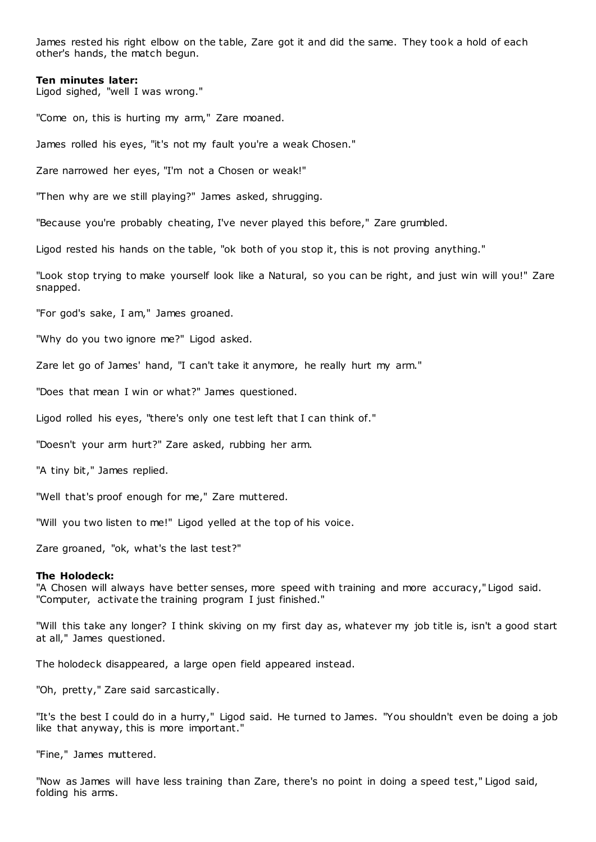James rested his right elbow on the table, Zare got it and did the same. They took a hold of each other's hands, the match begun.

## **Ten minutes later:**

Ligod sighed, "well I was wrong."

"Come on, this is hurting my arm," Zare moaned.

James rolled his eyes, "it's not my fault you're a weak Chosen."

Zare narrowed her eyes, "I'm not a Chosen or weak!"

"Then why are we still playing?" James asked, shrugging.

"Because you're probably cheating, I've never played this before," Zare grumbled.

Ligod rested his hands on the table, "ok both of you stop it, this is not proving anything."

"Look stop trying to make yourself look like a Natural, so you can be right, and just win will you!" Zare snapped.

"For god's sake, I am," James groaned.

"Why do you two ignore me?" Ligod asked.

Zare let go of James' hand, "I can't take it anymore, he really hurt my arm."

"Does that mean I win or what?" James questioned.

Ligod rolled his eyes, "there's only one test left that I can think of."

"Doesn't your arm hurt?" Zare asked, rubbing her arm.

"A tiny bit," James replied.

"Well that's proof enough for me," Zare muttered.

"Will you two listen to me!" Ligod yelled at the top of his voice.

Zare groaned, "ok, what's the last test?"

## **The Holodeck:**

"A Chosen will always have better senses, more speed with training and more accuracy," Ligod said. "Computer, activate the training program I just finished."

"Will this take any longer? I think skiving on my first day as, whatever my job title is, isn't a good start at all," James questioned.

The holodeck disappeared, a large open field appeared instead.

"Oh, pretty," Zare said sarcastically.

"It's the best I could do in a hurry," Ligod said. He turned to James. "You shouldn't even be doing a job like that anyway, this is more important."

"Fine," James muttered.

"Now as James will have less training than Zare, there's no point in doing a speed test," Ligod said, folding his arms.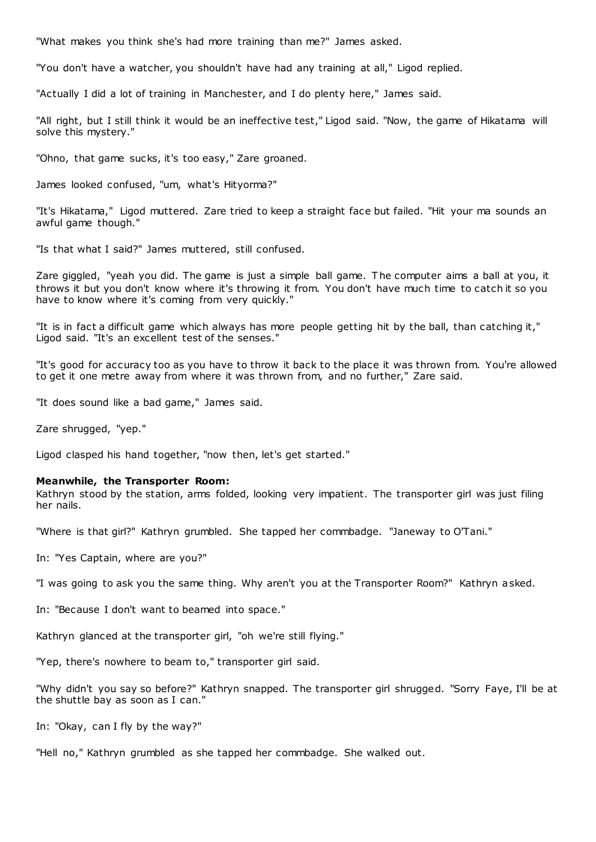"What makes you think she's had more training than me?" James asked.

"You don't have a watcher, you shouldn't have had any training at all," Ligod replied.

"Actually I did a lot of training in Manchester, and I do plenty here," James said.

"All right, but I still think it would be an ineffective test," Ligod said. "Now, the game of Hikatama will solve this mystery."

"Ohno, that game sucks, it's too easy," Zare groaned.

James looked confused, "um, what's Hityorma?"

"It's Hikatama," Ligod muttered. Zare tried to keep a straight face but failed. "Hit your ma sounds an awful game though."

"Is that what I said?" James muttered, still confused.

Zare giggled, "yeah you did. The game is just a simple ball game. T he computer aims a ball at you, it throws it but you don't know where it's throwing it from. You don't have much time to catch it so you have to know where it's coming from very quickly."

"It is in fact a difficult game which always has more people getting hit by the ball, than catching it," Ligod said. "It's an excellent test of the senses."

"It's good for accuracy too as you have to throw it back to the place it was thrown from. You're allowed to get it one metre away from where it was thrown from, and no further," Zare said.

"It does sound like a bad game," James said.

Zare shrugged, "yep."

Ligod clasped his hand together, "now then, let's get started."

#### **Meanwhile, the Transporter Room:**

Kathryn stood by the station, arms folded, looking very impatient. The transporter girl was just filing her nails.

"Where is that girl?" Kathryn grumbled. She tapped her commbadge. "Janeway to O'Tani."

In: "Yes Captain, where are you?"

"I was going to ask you the same thing. Why aren't you at the Transporter Room?" Kathryn asked.

In: "Because I don't want to beamed into space."

Kathryn glanced at the transporter girl, "oh we're still flying."

"Yep, there's nowhere to beam to," transporter girl said.

"Why didn't you say so before?" Kathryn snapped. The transporter girl shrugged. "Sorry Faye, I'll be at the shuttle bay as soon as I can."

In: "Okay, can I fly by the way?"

"Hell no," Kathryn grumbled as she tapped her commbadge. She walked out.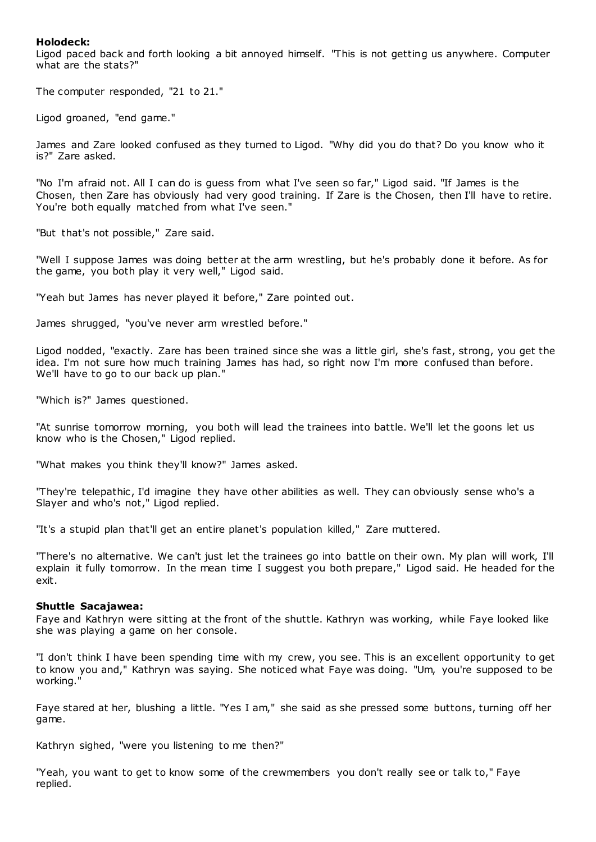# **Holodeck:**

Ligod paced back and forth looking a bit annoyed himself. "This is not getting us anywhere. Computer what are the stats?"

The computer responded, "21 to 21."

Ligod groaned, "end game."

James and Zare looked confused as they turned to Ligod. "Why did you do that? Do you know who it is?" Zare asked.

"No I'm afraid not. All I can do is guess from what I've seen so far," Ligod said. "If James is the Chosen, then Zare has obviously had very good training. If Zare is the Chosen, then I'll have to retire. You're both equally matched from what I've seen."

"But that's not possible," Zare said.

"Well I suppose James was doing better at the arm wrestling, but he's probably done it before. As for the game, you both play it very well," Ligod said.

"Yeah but James has never played it before," Zare pointed out.

James shrugged, "you've never arm wrestled before."

Ligod nodded, "exactly. Zare has been trained since she was a little girl, she's fast, strong, you get the idea. I'm not sure how much training James has had, so right now I'm more confused than before. We'll have to go to our back up plan."

"Which is?" James questioned.

"At sunrise tomorrow morning, you both will lead the trainees into battle. We'll let the goons let us know who is the Chosen," Ligod replied.

"What makes you think they'll know?" James asked.

"They're telepathic, I'd imagine they have other abilities as well. They can obviously sense who's a Slayer and who's not," Ligod replied.

"It's a stupid plan that'll get an entire planet's population killed," Zare muttered.

"There's no alternative. We can't just let the trainees go into battle on their own. My plan will work, I'll explain it fully tomorrow. In the mean time I suggest you both prepare," Ligod said. He headed for the exit.

## **Shuttle Sacajawea:**

Faye and Kathryn were sitting at the front of the shuttle. Kathryn was working, while Faye looked like she was playing a game on her console.

"I don't think I have been spending time with my crew, you see. This is an excellent opportunity to get to know you and," Kathryn was saying. She noticed what Faye was doing. "Um, you're supposed to be working."

Faye stared at her, blushing a little. "Yes I am," she said as she pressed some buttons, turning off her game.

Kathryn sighed, "were you listening to me then?"

"Yeah, you want to get to know some of the crewmembers you don't really see or talk to," Faye replied.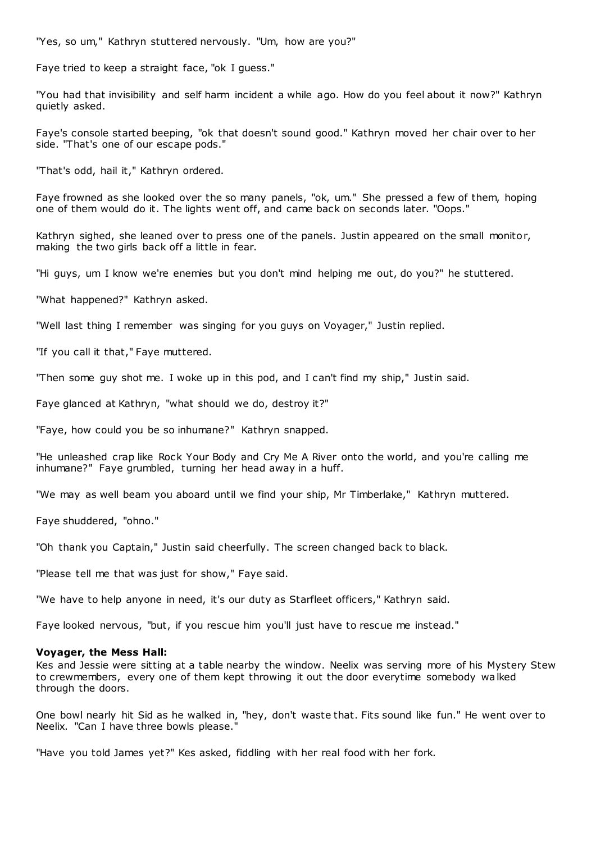"Yes, so um," Kathryn stuttered nervously. "Um, how are you?"

Faye tried to keep a straight face, "ok I guess."

"You had that invisibility and self harm incident a while ago. How do you feel about it now?" Kathryn quietly asked.

Faye's console started beeping, "ok that doesn't sound good." Kathryn moved her chair over to her side. "That's one of our escape pods."

"That's odd, hail it," Kathryn ordered.

Faye frowned as she looked over the so many panels, "ok, um." She pressed a few of them, hoping one of them would do it. The lights went off, and came back on seconds later. "Oops."

Kathryn sighed, she leaned over to press one of the panels. Justin appeared on the small monitor, making the two girls back off a little in fear.

"Hi guys, um I know we're enemies but you don't mind helping me out, do you?" he stuttered.

"What happened?" Kathryn asked.

"Well last thing I remember was singing for you guys on Voyager," Justin replied.

"If you call it that," Faye muttered.

"Then some guy shot me. I woke up in this pod, and I can't find my ship," Justin said.

Faye glanced at Kathryn, "what should we do, destroy it?"

"Faye, how could you be so inhumane?" Kathryn snapped.

"He unleashed crap like Rock Your Body and Cry Me A River onto the world, and you're calling me inhumane?" Faye grumbled, turning her head away in a huff.

"We may as well beam you aboard until we find your ship, Mr Timberlake," Kathryn muttered.

Faye shuddered, "ohno."

"Oh thank you Captain," Justin said cheerfully. The screen changed back to black.

"Please tell me that was just for show," Faye said.

"We have to help anyone in need, it's our duty as Starfleet officers," Kathryn said.

Faye looked nervous, "but, if you rescue him you'll just have to rescue me instead."

#### **Voyager, the Mess Hall:**

Kes and Jessie were sitting at a table nearby the window. Neelix was serving more of his Mystery Stew to crewmembers, every one of them kept throwing it out the door everytime somebody walked through the doors.

One bowl nearly hit Sid as he walked in, "hey, don't waste that. Fits sound like fun." He went over to Neelix. "Can I have three bowls please."

"Have you told James yet?" Kes asked, fiddling with her real food with her fork.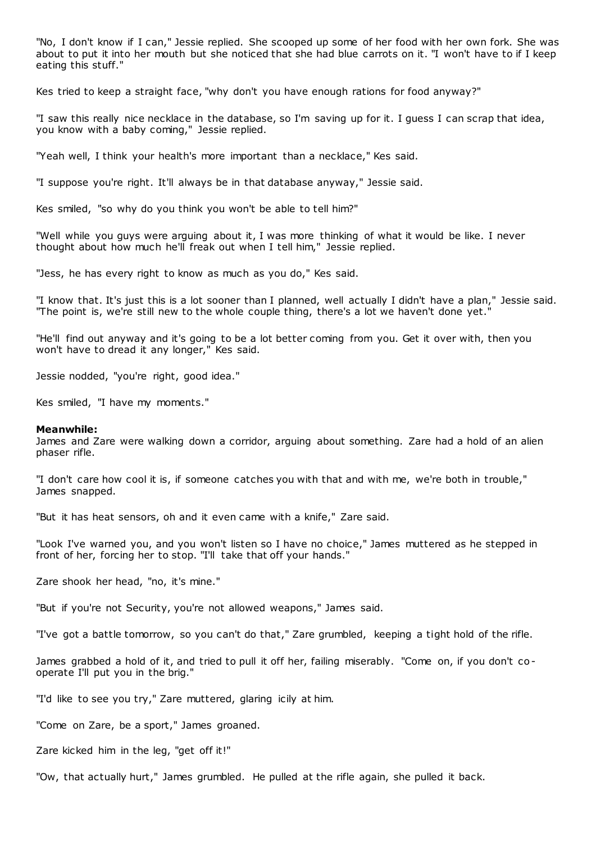"No, I don't know if I can," Jessie replied. She scooped up some of her food with her own fork. She was about to put it into her mouth but she noticed that she had blue carrots on it. "I won't have to if I keep eating this stuff."

Kes tried to keep a straight face, "why don't you have enough rations for food anyway?"

"I saw this really nice necklace in the database, so I'm saving up for it. I guess I can scrap that idea, you know with a baby coming," Jessie replied.

"Yeah well, I think your health's more important than a necklace," Kes said.

"I suppose you're right. It'll always be in that database anyway," Jessie said.

Kes smiled, "so why do you think you won't be able to tell him?"

"Well while you guys were arguing about it, I was more thinking of what it would be like. I never thought about how much he'll freak out when I tell him," Jessie replied.

"Jess, he has every right to know as much as you do," Kes said.

"I know that. It's just this is a lot sooner than I planned, well actually I didn't have a plan," Jessie said. "The point is, we're still new to the whole couple thing, there's a lot we haven't done yet."

"He'll find out anyway and it's going to be a lot better coming from you. Get it over with, then you won't have to dread it any longer," Kes said.

Jessie nodded, "you're right, good idea."

Kes smiled, "I have my moments."

#### **Meanwhile:**

James and Zare were walking down a corridor, arguing about something. Zare had a hold of an alien phaser rifle.

"I don't care how cool it is, if someone catches you with that and with me, we're both in trouble," James snapped.

"But it has heat sensors, oh and it even came with a knife," Zare said.

"Look I've warned you, and you won't listen so I have no choice," James muttered as he stepped in front of her, forcing her to stop. "I'll take that off your hands."

Zare shook her head, "no, it's mine."

"But if you're not Security, you're not allowed weapons," James said.

"I've got a battle tomorrow, so you can't do that," Zare grumbled, keeping a tight hold of the rifle.

James grabbed a hold of it, and tried to pull it off her, failing miserably. "Come on, if you don't cooperate I'll put you in the brig."

"I'd like to see you try," Zare muttered, glaring icily at him.

"Come on Zare, be a sport," James groaned.

Zare kicked him in the leg, "get off it!"

"Ow, that actually hurt," James grumbled. He pulled at the rifle again, she pulled it back.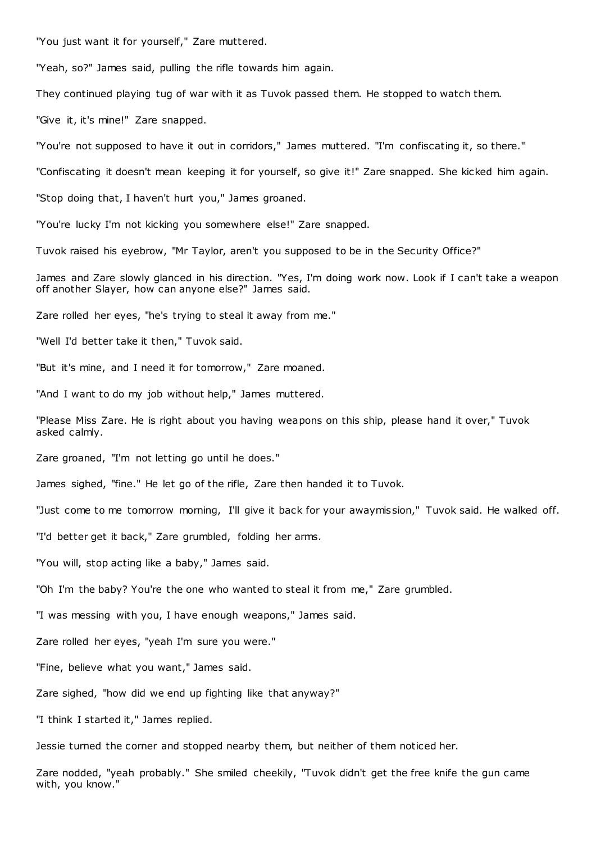"You just want it for yourself," Zare muttered.

"Yeah, so?" James said, pulling the rifle towards him again.

They continued playing tug of war with it as Tuvok passed them. He stopped to watch them.

"Give it, it's mine!" Zare snapped.

"You're not supposed to have it out in corridors," James muttered. "I'm confiscating it, so there."

"Confiscating it doesn't mean keeping it for yourself, so give it!" Zare snapped. She kicked him again.

"Stop doing that, I haven't hurt you," James groaned.

"You're lucky I'm not kicking you somewhere else!" Zare snapped.

Tuvok raised his eyebrow, "Mr Taylor, aren't you supposed to be in the Security Office?"

James and Zare slowly glanced in his direction. "Yes, I'm doing work now. Look if I can't take a weapon off another Slayer, how can anyone else?" James said.

Zare rolled her eyes, "he's trying to steal it away from me."

"Well I'd better take it then," Tuvok said.

"But it's mine, and I need it for tomorrow," Zare moaned.

"And I want to do my job without help," James muttered.

"Please Miss Zare. He is right about you having weapons on this ship, please hand it over," Tuvok asked calmly.

Zare groaned, "I'm not letting go until he does."

James sighed, "fine." He let go of the rifle, Zare then handed it to Tuvok.

"Just come to me tomorrow morning, I'll give it back for your awaymission," Tuvok said. He walked off.

"I'd better get it back," Zare grumbled, folding her arms.

"You will, stop acting like a baby," James said.

"Oh I'm the baby? You're the one who wanted to steal it from me," Zare grumbled.

"I was messing with you, I have enough weapons," James said.

Zare rolled her eyes, "yeah I'm sure you were."

"Fine, believe what you want," James said.

Zare sighed, "how did we end up fighting like that anyway?"

"I think I started it," James replied.

Jessie turned the corner and stopped nearby them, but neither of them noticed her.

Zare nodded, "yeah probably." She smiled cheekily, "Tuvok didn't get the free knife the gun came with, you know."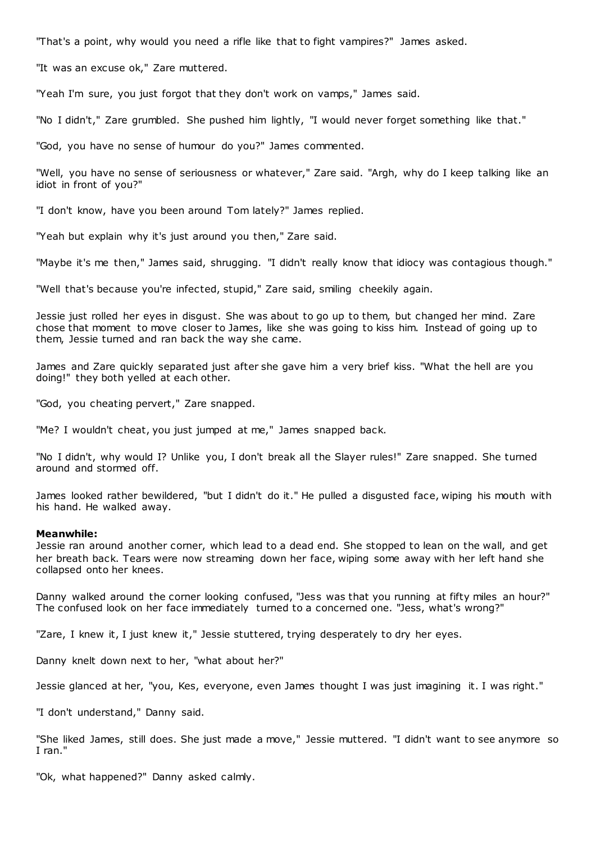"That's a point, why would you need a rifle like that to fight vampires?" James asked.

"It was an excuse ok," Zare muttered.

"Yeah I'm sure, you just forgot that they don't work on vamps," James said.

"No I didn't," Zare grumbled. She pushed him lightly, "I would never forget something like that."

"God, you have no sense of humour do you?" James commented.

"Well, you have no sense of seriousness or whatever," Zare said. "Argh, why do I keep talking like an idiot in front of you?"

"I don't know, have you been around Tom lately?" James replied.

"Yeah but explain why it's just around you then," Zare said.

"Maybe it's me then," James said, shrugging. "I didn't really know that idiocy was contagious though."

"Well that's because you're infected, stupid," Zare said, smiling cheekily again.

Jessie just rolled her eyes in disgust. She was about to go up to them, but changed her mind. Zare chose that moment to move closer to James, like she was going to kiss him. Instead of going up to them, Jessie turned and ran back the way she came.

James and Zare quickly separated just after she gave him a very brief kiss. "What the hell are you doing!" they both yelled at each other.

"God, you cheating pervert," Zare snapped.

"Me? I wouldn't cheat, you just jumped at me," James snapped back.

"No I didn't, why would I? Unlike you, I don't break all the Slayer rules!" Zare snapped. She turned around and stormed off.

James looked rather bewildered, "but I didn't do it." He pulled a disgusted face, wiping his mouth with his hand. He walked away.

## **Meanwhile:**

Jessie ran around another corner, which lead to a dead end. She stopped to lean on the wall, and get her breath back. Tears were now streaming down her face, wiping some away with her left hand she collapsed onto her knees.

Danny walked around the corner looking confused, "Jess was that you running at fifty miles an hour?" The confused look on her face immediately turned to a concerned one. "Jess, what's wrong?"

"Zare, I knew it, I just knew it," Jessie stuttered, trying desperately to dry her eyes.

Danny knelt down next to her, "what about her?"

Jessie glanced at her, "you, Kes, everyone, even James thought I was just imagining it. I was right."

"I don't understand," Danny said.

"She liked James, still does. She just made a move," Jessie muttered. "I didn't want to see anymore so I ran."

"Ok, what happened?" Danny asked calmly.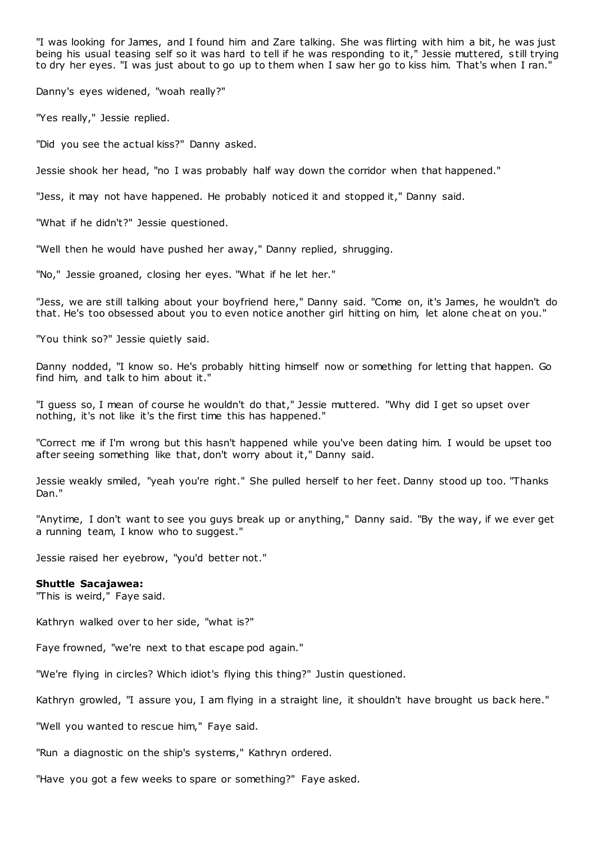"I was looking for James, and I found him and Zare talking. She was flirting with him a bit, he was just being his usual teasing self so it was hard to tell if he was responding to it," Jessie muttered, s till trying to dry her eyes. "I was just about to go up to them when I saw her go to kiss him. That's when I ran."

Danny's eyes widened, "woah really?"

"Yes really," Jessie replied.

"Did you see the actual kiss?" Danny asked.

Jessie shook her head, "no I was probably half way down the corridor when that happened."

"Jess, it may not have happened. He probably noticed it and stopped it," Danny said.

"What if he didn't?" Jessie questioned.

"Well then he would have pushed her away," Danny replied, shrugging.

"No," Jessie groaned, closing her eyes. "What if he let her."

"Jess, we are still talking about your boyfriend here," Danny said. "Come on, it's James, he wouldn't do that. He's too obsessed about you to even notice another girl hitting on him, let alone cheat on you."

"You think so?" Jessie quietly said.

Danny nodded, "I know so. He's probably hitting himself now or something for letting that happen. Go find him, and talk to him about it."

"I guess so, I mean of course he wouldn't do that," Jessie muttered. "Why did I get so upset over nothing, it's not like it's the first time this has happened."

"Correct me if I'm wrong but this hasn't happened while you've been dating him. I would be upset too after seeing something like that, don't worry about it," Danny said.

Jessie weakly smiled, "yeah you're right." She pulled herself to her feet. Danny stood up too. "Thanks Dan."

"Anytime, I don't want to see you guys break up or anything," Danny said. "By the way, if we ever get a running team, I know who to suggest."

Jessie raised her eyebrow, "you'd better not."

#### **Shuttle Sacajawea:**

"This is weird," Faye said.

Kathryn walked over to her side, "what is?"

Faye frowned, "we're next to that escape pod again."

"We're flying in circles? Which idiot's flying this thing?" Justin questioned.

Kathryn growled, "I assure you, I am flying in a straight line, it shouldn't have brought us back here."

"Well you wanted to rescue him," Faye said.

"Run a diagnostic on the ship's systems," Kathryn ordered.

"Have you got a few weeks to spare or something?" Faye asked.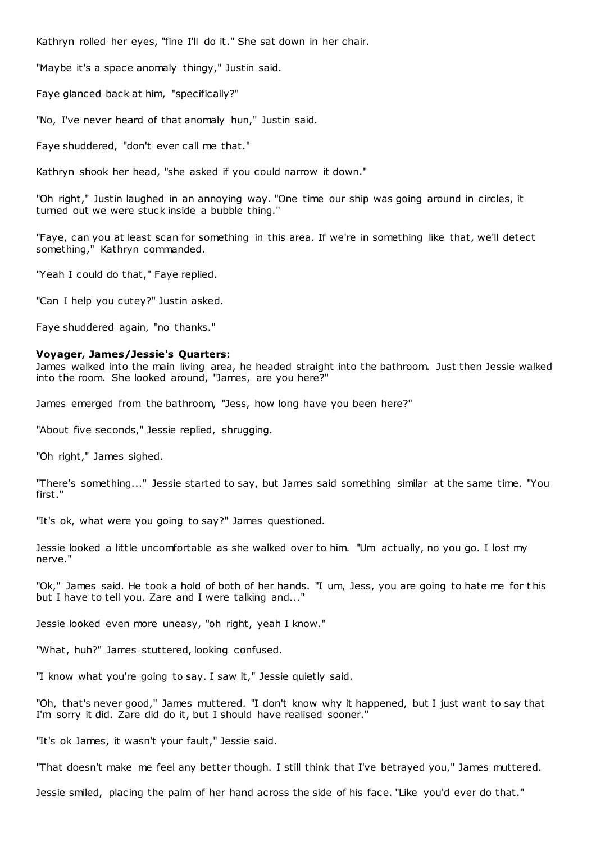Kathryn rolled her eyes, "fine I'll do it." She sat down in her chair.

"Maybe it's a space anomaly thingy," Justin said.

Faye glanced back at him, "specifically?"

"No, I've never heard of that anomaly hun," Justin said.

Faye shuddered, "don't ever call me that."

Kathryn shook her head, "she asked if you could narrow it down."

"Oh right," Justin laughed in an annoying way. "One time our ship was going around in circles, it turned out we were stuck inside a bubble thing."

"Faye, can you at least scan for something in this area. If we're in something like that, we'll detect something," Kathryn commanded.

"Yeah I could do that," Faye replied.

"Can I help you cutey?" Justin asked.

Faye shuddered again, "no thanks."

# **Voyager, James/Jessie's Quarters:**

James walked into the main living area, he headed straight into the bathroom. Just then Jessie walked into the room. She looked around, "James, are you here?"

James emerged from the bathroom, "Jess, how long have you been here?"

"About five seconds," Jessie replied, shrugging.

"Oh right," James sighed.

"There's something..." Jessie started to say, but James said something similar at the same time. "You first."

"It's ok, what were you going to say?" James questioned.

Jessie looked a little uncomfortable as she walked over to him. "Um actually, no you go. I lost my nerve."

"Ok," James said. He took a hold of both of her hands. "I um, Jess, you are going to hate me for t his but I have to tell you. Zare and I were talking and..."

Jessie looked even more uneasy, "oh right, yeah I know."

"What, huh?" James stuttered, looking confused.

"I know what you're going to say. I saw it," Jessie quietly said.

"Oh, that's never good," James muttered. "I don't know why it happened, but I just want to say that I'm sorry it did. Zare did do it, but I should have realised sooner."

"It's ok James, it wasn't your fault," Jessie said.

"That doesn't make me feel any better though. I still think that I've betrayed you," James muttered.

Jessie smiled, placing the palm of her hand across the side of his face. "Like you'd ever do that."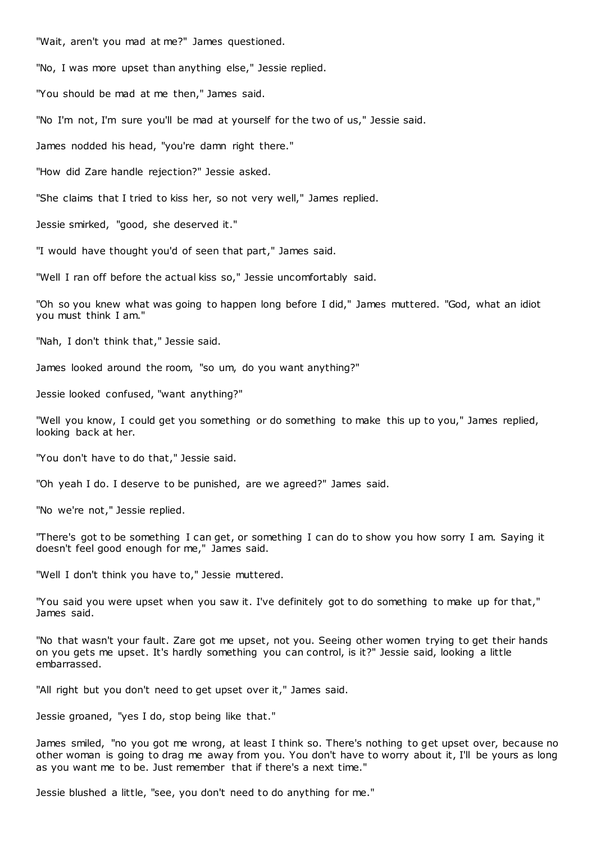"Wait, aren't you mad at me?" James questioned.

"No, I was more upset than anything else," Jessie replied.

"You should be mad at me then," James said.

"No I'm not, I'm sure you'll be mad at yourself for the two of us," Jessie said.

James nodded his head, "you're damn right there."

"How did Zare handle rejection?" Jessie asked.

"She claims that I tried to kiss her, so not very well," James replied.

Jessie smirked, "good, she deserved it."

"I would have thought you'd of seen that part," James said.

"Well I ran off before the actual kiss so," Jessie uncomfortably said.

"Oh so you knew what was going to happen long before I did," James muttered. "God, what an idiot you must think I am."

"Nah, I don't think that," Jessie said.

James looked around the room, "so um, do you want anything?"

Jessie looked confused, "want anything?"

"Well you know, I could get you something or do something to make this up to you," James replied, looking back at her.

"You don't have to do that," Jessie said.

"Oh yeah I do. I deserve to be punished, are we agreed?" James said.

"No we're not," Jessie replied.

"There's got to be something I can get, or something I can do to show you how sorry I am. Saying it doesn't feel good enough for me," James said.

"Well I don't think you have to," Jessie muttered.

"You said you were upset when you saw it. I've definitely got to do something to make up for that," James said.

"No that wasn't your fault. Zare got me upset, not you. Seeing other women trying to get their hands on you gets me upset. It's hardly something you can control, is it?" Jessie said, looking a little embarrassed.

"All right but you don't need to get upset over it," James said.

Jessie groaned, "yes I do, stop being like that."

James smiled, "no you got me wrong, at least I think so. There's nothing to get upset over, because no other woman is going to drag me away from you. You don't have to worry about it, I'll be yours as long as you want me to be. Just remember that if there's a next time."

Jessie blushed a little, "see, you don't need to do anything for me."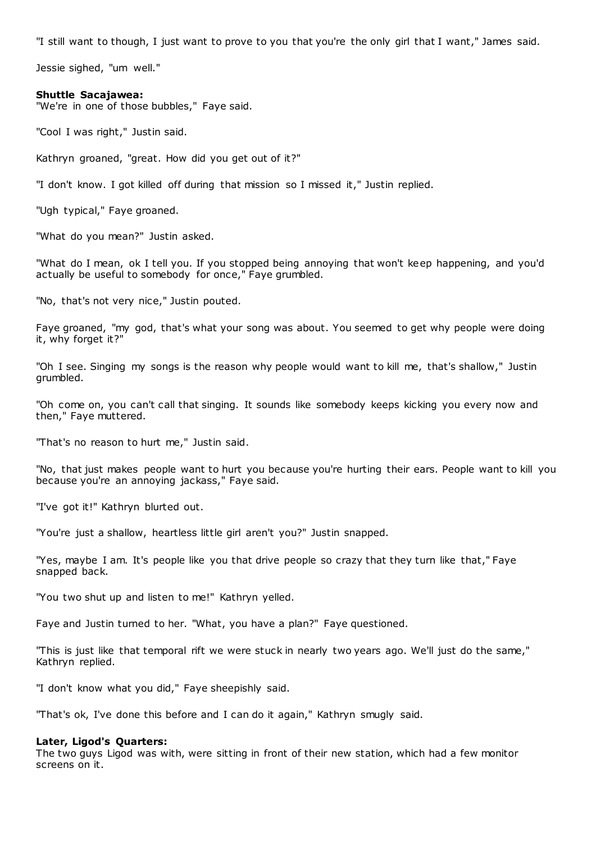"I still want to though, I just want to prove to you that you're the only girl that I want," James said.

Jessie sighed, "um well."

## **Shuttle Sacajawea:**

"We're in one of those bubbles," Faye said.

"Cool I was right," Justin said.

Kathryn groaned, "great. How did you get out of it?"

"I don't know. I got killed off during that mission so I missed it," Justin replied.

"Ugh typical," Faye groaned.

"What do you mean?" Justin asked.

"What do I mean, ok I tell you. If you stopped being annoying that won't keep happening, and you'd actually be useful to somebody for once," Faye grumbled.

"No, that's not very nice," Justin pouted.

Faye groaned, "my god, that's what your song was about. You seemed to get why people were doing it, why forget it?"

"Oh I see. Singing my songs is the reason why people would want to kill me, that's shallow," Justin grumbled.

"Oh come on, you can't call that singing. It sounds like somebody keeps kicking you every now and then," Faye muttered.

"That's no reason to hurt me," Justin said.

"No, that just makes people want to hurt you because you're hurting their ears. People want to kill you because you're an annoying jackass," Faye said.

"I've got it!" Kathryn blurted out.

"You're just a shallow, heartless little girl aren't you?" Justin snapped.

"Yes, maybe I am. It's people like you that drive people so crazy that they turn like that," Faye snapped back.

"You two shut up and listen to me!" Kathryn yelled.

Faye and Justin turned to her. "What, you have a plan?" Faye questioned.

"This is just like that temporal rift we were stuck in nearly two years ago. We'll just do the same," Kathryn replied.

"I don't know what you did," Faye sheepishly said.

"That's ok, I've done this before and I can do it again," Kathryn smugly said.

#### **Later, Ligod's Quarters:**

The two guys Ligod was with, were sitting in front of their new station, which had a few monitor screens on it.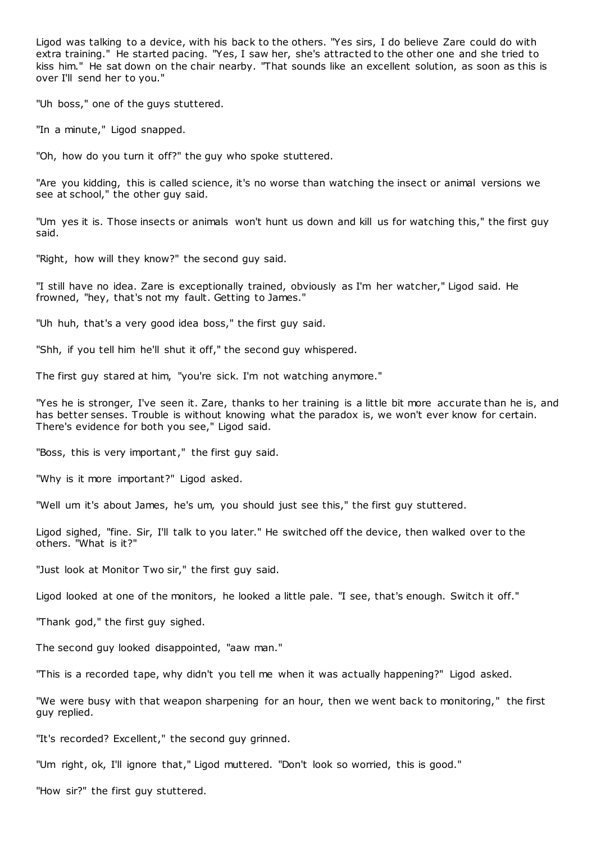Ligod was talking to a device, with his back to the others. "Yes sirs, I do believe Zare could do with extra training." He started pacing. "Yes, I saw her, she's attracted to the other one and she tried to kiss him." He sat down on the chair nearby. "That sounds like an excellent solution, as soon as this is over I'll send her to you."

"Uh boss," one of the guys stuttered.

"In a minute," Ligod snapped.

"Oh, how do you turn it off?" the guy who spoke stuttered.

"Are you kidding, this is called science, it's no worse than watching the insect or animal versions we see at school," the other guy said.

"Um yes it is. Those insects or animals won't hunt us down and kill us for watching this," the first guy said.

"Right, how will they know?" the second guy said.

"I still have no idea. Zare is exceptionally trained, obviously as I'm her watcher," Ligod said. He frowned, "hey, that's not my fault. Getting to James."

"Uh huh, that's a very good idea boss," the first guy said.

"Shh, if you tell him he'll shut it off," the second guy whispered.

The first guy stared at him, "you're sick. I'm not watching anymore."

"Yes he is stronger, I've seen it. Zare, thanks to her training is a little bit more accurate than he is, and has better senses. Trouble is without knowing what the paradox is, we won't ever know for certain. There's evidence for both you see," Ligod said.

"Boss, this is very important," the first guy said.

"Why is it more important?" Ligod asked.

"Well um it's about James, he's um, you should just see this," the first guy stuttered.

Ligod sighed, "fine. Sir, I'll talk to you later." He switched off the device, then walked over to the others. "What is it?"

"Just look at Monitor Two sir," the first guy said.

Ligod looked at one of the monitors, he looked a little pale. "I see, that's enough. Switch it off."

"Thank god," the first guy sighed.

The second guy looked disappointed, "aaw man."

"This is a recorded tape, why didn't you tell me when it was actually happening?" Ligod asked.

"We were busy with that weapon sharpening for an hour, then we went back to monitoring," the first guy replied.

"It's recorded? Excellent," the second guy grinned.

"Um right, ok, I'll ignore that," Ligod muttered. "Don't look so worried, this is good."

"How sir?" the first guy stuttered.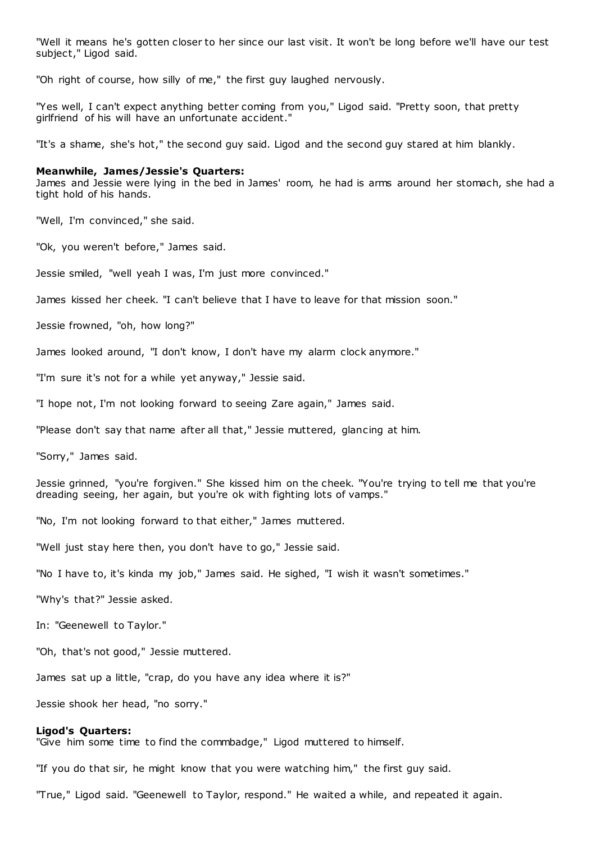"Well it means he's gotten closer to her since our last visit. It won't be long before we'll have our test subject," Ligod said.

"Oh right of course, how silly of me," the first guy laughed nervously.

"Yes well, I can't expect anything better coming from you," Ligod said. "Pretty soon, that pretty girlfriend of his will have an unfortunate accident."

"It's a shame, she's hot," the second guy said. Ligod and the second guy stared at him blankly.

#### **Meanwhile, James/Jessie's Quarters:**

James and Jessie were lying in the bed in James' room, he had is arms around her stomach, she had a tight hold of his hands.

"Well, I'm convinced," she said.

"Ok, you weren't before," James said.

Jessie smiled, "well yeah I was, I'm just more convinced."

James kissed her cheek. "I can't believe that I have to leave for that mission soon."

Jessie frowned, "oh, how long?"

James looked around, "I don't know, I don't have my alarm clock anymore."

"I'm sure it's not for a while yet anyway," Jessie said.

"I hope not, I'm not looking forward to seeing Zare again," James said.

"Please don't say that name after all that," Jessie muttered, glancing at him.

"Sorry," James said.

Jessie grinned, "you're forgiven." She kissed him on the cheek. "You're trying to tell me that you're dreading seeing, her again, but you're ok with fighting lots of vamps."

"No, I'm not looking forward to that either," James muttered.

"Well just stay here then, you don't have to go," Jessie said.

"No I have to, it's kinda my job," James said. He sighed, "I wish it wasn't sometimes."

"Why's that?" Jessie asked.

In: "Geenewell to Taylor."

"Oh, that's not good," Jessie muttered.

James sat up a little, "crap, do you have any idea where it is?"

Jessie shook her head, "no sorry."

#### **Ligod's Quarters:**

"Give him some time to find the commbadge," Ligod muttered to himself.

"If you do that sir, he might know that you were watching him," the first guy said.

"True," Ligod said. "Geenewell to Taylor, respond." He waited a while, and repeated it again.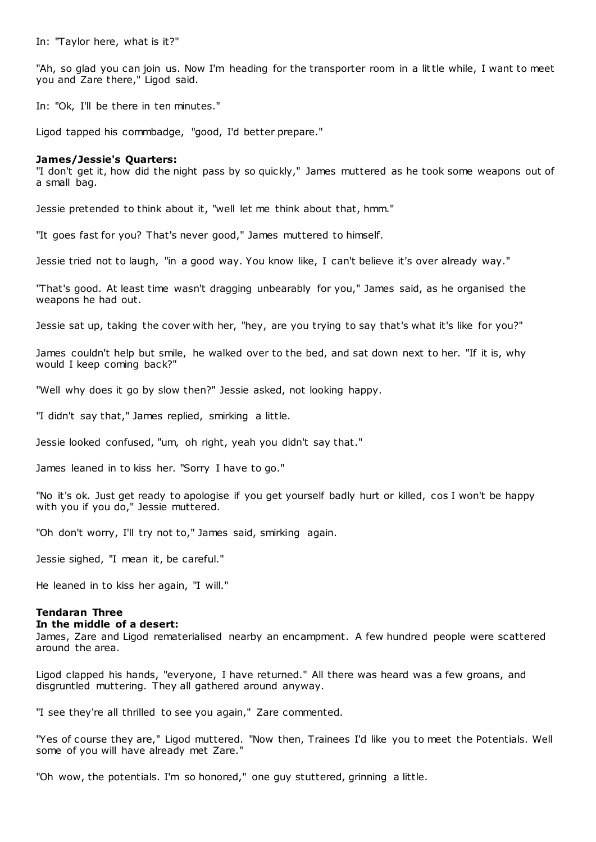In: "Taylor here, what is it?"

"Ah, so glad you can join us. Now I'm heading for the transporter room in a little while, I want to meet you and Zare there," Ligod said.

In: "Ok, I'll be there in ten minutes."

Ligod tapped his commbadge, "good, I'd better prepare."

## **James/Jessie's Quarters:**

"I don't get it, how did the night pass by so quickly," James muttered as he took some weapons out of a small bag.

Jessie pretended to think about it, "well let me think about that, hmm."

"It goes fast for you? That's never good," James muttered to himself.

Jessie tried not to laugh, "in a good way. You know like, I can't believe it's over already way."

"That's good. At least time wasn't dragging unbearably for you," James said, as he organised the weapons he had out.

Jessie sat up, taking the cover with her, "hey, are you trying to say that's what it's like for you?"

James couldn't help but smile, he walked over to the bed, and sat down next to her. "If it is, why would I keep coming back?"

"Well why does it go by slow then?" Jessie asked, not looking happy.

"I didn't say that," James replied, smirking a little.

Jessie looked confused, "um, oh right, yeah you didn't say that."

James leaned in to kiss her. "Sorry I have to go."

"No it's ok. Just get ready to apologise if you get yourself badly hurt or killed, cos I won't be happy with you if you do," Jessie muttered.

"Oh don't worry, I'll try not to," James said, smirking again.

Jessie sighed, "I mean it, be careful."

He leaned in to kiss her again, "I will."

# **Tendaran Three**

#### **In the middle of a desert:**

James, Zare and Ligod rematerialised nearby an encampment. A few hundred people were scattered around the area.

Ligod clapped his hands, "everyone, I have returned." All there was heard was a few groans, and disgruntled muttering. They all gathered around anyway.

"I see they're all thrilled to see you again," Zare commented.

"Yes of course they are," Ligod muttered. "Now then, Trainees I'd like you to meet the Potentials. Well some of you will have already met Zare."

"Oh wow, the potentials. I'm so honored," one guy stuttered, grinning a little.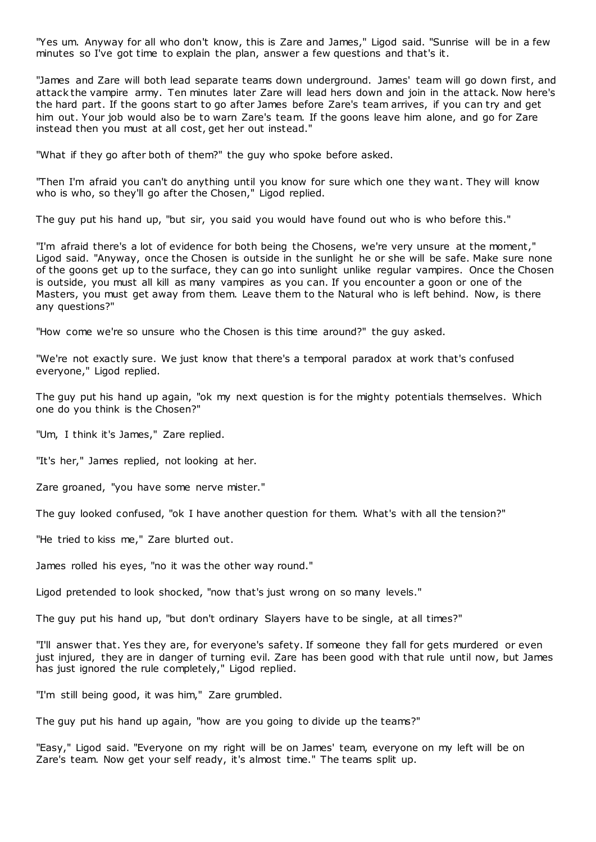"Yes um. Anyway for all who don't know, this is Zare and James," Ligod said. "Sunrise will be in a few minutes so I've got time to explain the plan, answer a few questions and that's it.

"James and Zare will both lead separate teams down underground. James' team will go down first, and attack the vampire army. Ten minutes later Zare will lead hers down and join in the attack. Now here's the hard part. If the goons start to go after James before Zare's team arrives, if you can try and get him out. Your job would also be to warn Zare's team. If the goons leave him alone, and go for Zare instead then you must at all cost, get her out instead."

"What if they go after both of them?" the guy who spoke before asked.

"Then I'm afraid you can't do anything until you know for sure which one they want. They will know who is who, so they'll go after the Chosen," Ligod replied.

The guy put his hand up, "but sir, you said you would have found out who is who before this."

"I'm afraid there's a lot of evidence for both being the Chosens, we're very unsure at the moment," Ligod said. "Anyway, once the Chosen is outside in the sunlight he or she will be safe. Make sure none of the goons get up to the surface, they can go into sunlight unlike regular vampires. Once the Chosen is outside, you must all kill as many vampires as you can. If you encounter a goon or one of the Masters, you must get away from them. Leave them to the Natural who is left behind. Now, is there any questions?"

"How come we're so unsure who the Chosen is this time around?" the guy asked.

"We're not exactly sure. We just know that there's a temporal paradox at work that's confused everyone," Ligod replied.

The guy put his hand up again, "ok my next question is for the mighty potentials themselves. Which one do you think is the Chosen?"

"Um, I think it's James," Zare replied.

"It's her," James replied, not looking at her.

Zare groaned, "you have some nerve mister."

The guy looked confused, "ok I have another question for them. What's with all the tension?"

"He tried to kiss me," Zare blurted out.

James rolled his eyes, "no it was the other way round."

Ligod pretended to look shocked, "now that's just wrong on so many levels."

The guy put his hand up, "but don't ordinary Slayers have to be single, at all times?"

"I'll answer that. Yes they are, for everyone's safety. If someone they fall for gets murdered or even just injured, they are in danger of turning evil. Zare has been good with that rule until now, but James has just ignored the rule completely," Ligod replied.

"I'm still being good, it was him," Zare grumbled.

The guy put his hand up again, "how are you going to divide up the teams?"

"Easy," Ligod said. "Everyone on my right will be on James' team, everyone on my left will be on Zare's team. Now get your self ready, it's almost time." The teams split up.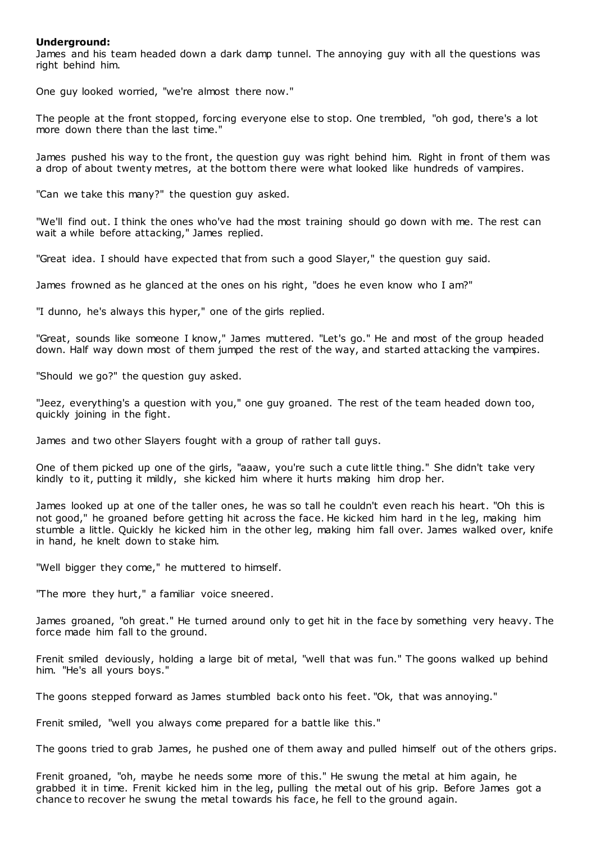# **Underground:**

James and his team headed down a dark damp tunnel. The annoying guy with all the questions was right behind him.

One guy looked worried, "we're almost there now."

The people at the front stopped, forcing everyone else to stop. One trembled, "oh god, there's a lot more down there than the last time."

James pushed his way to the front, the question guy was right behind him. Right in front of them was a drop of about twenty metres, at the bottom there were what looked like hundreds of vampires.

"Can we take this many?" the question guy asked.

"We'll find out. I think the ones who've had the most training should go down with me. The rest can wait a while before attacking," James replied.

"Great idea. I should have expected that from such a good Slayer," the question guy said.

James frowned as he glanced at the ones on his right, "does he even know who I am?"

"I dunno, he's always this hyper," one of the girls replied.

"Great, sounds like someone I know," James muttered. "Let's go." He and most of the group headed down. Half way down most of them jumped the rest of the way, and started attacking the vampires.

"Should we go?" the question guy asked.

"Jeez, everything's a question with you," one guy groaned. The rest of the team headed down too, quickly joining in the fight.

James and two other Slayers fought with a group of rather tall guys.

One of them picked up one of the girls, "aaaw, you're such a cute little thing." She didn't take very kindly to it, putting it mildly, she kicked him where it hurts making him drop her.

James looked up at one of the taller ones, he was so tall he couldn't even reach his heart. "Oh this is not good," he groaned before getting hit across the face. He kicked him hard in t he leg, making him stumble a little. Quickly he kicked him in the other leg, making him fall over. James walked over, knife in hand, he knelt down to stake him.

"Well bigger they come," he muttered to himself.

"The more they hurt," a familiar voice sneered.

James groaned, "oh great." He turned around only to get hit in the face by something very heavy. The force made him fall to the ground.

Frenit smiled deviously, holding a large bit of metal, "well that was fun." The goons walked up behind him. "He's all yours boys."

The goons stepped forward as James stumbled back onto his feet. "Ok, that was annoying."

Frenit smiled, "well you always come prepared for a battle like this."

The goons tried to grab James, he pushed one of them away and pulled himself out of the others grips.

Frenit groaned, "oh, maybe he needs some more of this." He swung the metal at him again, he grabbed it in time. Frenit kicked him in the leg, pulling the metal out of his grip. Before James got a chance to recover he swung the metal towards his face, he fell to the ground again.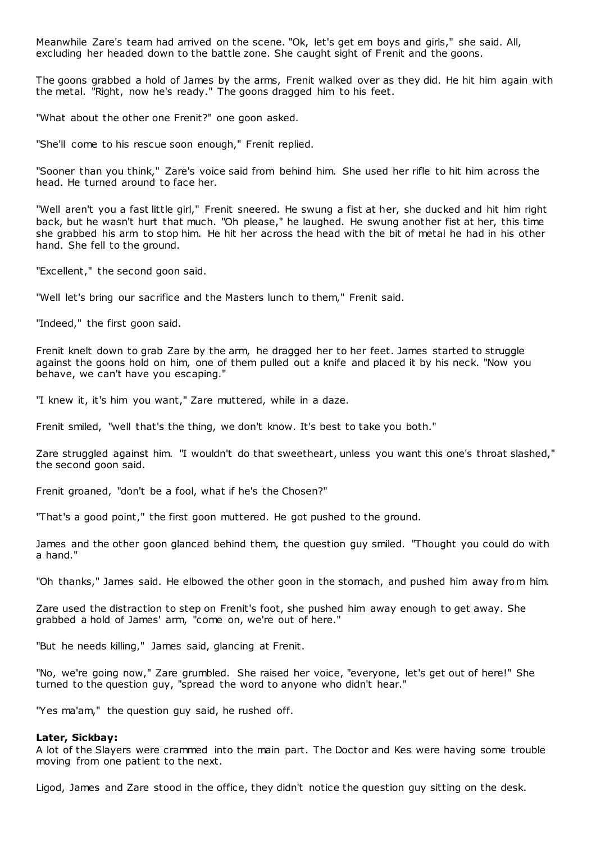Meanwhile Zare's team had arrived on the scene. "Ok, let's get em boys and girls," she said. All, excluding her headed down to the battle zone. She caught sight of Frenit and the goons.

The goons grabbed a hold of James by the arms, Frenit walked over as they did. He hit him again with the metal. "Right, now he's ready." The goons dragged him to his feet.

"What about the other one Frenit?" one goon asked.

"She'll come to his rescue soon enough," Frenit replied.

"Sooner than you think," Zare's voice said from behind him. She used her rifle to hit him across the head. He turned around to face her.

"Well aren't you a fast little girl," Frenit sneered. He swung a fist at her, she ducked and hit him right back, but he wasn't hurt that much. "Oh please," he laughed. He swung another fist at her, this time she grabbed his arm to stop him. He hit her across the head with the bit of metal he had in his other hand. She fell to the ground.

"Excellent," the second goon said.

"Well let's bring our sacrifice and the Masters lunch to them," Frenit said.

"Indeed," the first goon said.

Frenit knelt down to grab Zare by the arm, he dragged her to her feet. James started to struggle against the goons hold on him, one of them pulled out a knife and placed it by his neck. "Now you behave, we can't have you escaping."

"I knew it, it's him you want," Zare muttered, while in a daze.

Frenit smiled, "well that's the thing, we don't know. It's best to take you both."

Zare struggled against him. "I wouldn't do that sweetheart, unless you want this one's throat slashed," the second goon said.

Frenit groaned, "don't be a fool, what if he's the Chosen?"

"That's a good point," the first goon muttered. He got pushed to the ground.

James and the other goon glanced behind them, the question guy smiled. "Thought you could do with a hand."

"Oh thanks," James said. He elbowed the other goon in the stomach, and pushed him away from him.

Zare used the distraction to step on Frenit's foot, she pushed him away enough to get away. She grabbed a hold of James' arm, "come on, we're out of here."

"But he needs killing," James said, glancing at Frenit.

"No, we're going now," Zare grumbled. She raised her voice, "everyone, let's get out of here!" She turned to the question guy, "spread the word to anyone who didn't hear."

"Yes ma'am," the question guy said, he rushed off.

#### **Later, Sickbay:**

A lot of the Slayers were crammed into the main part. The Doctor and Kes were having some trouble moving from one patient to the next.

Ligod, James and Zare stood in the office, they didn't notice the question guy sitting on the desk.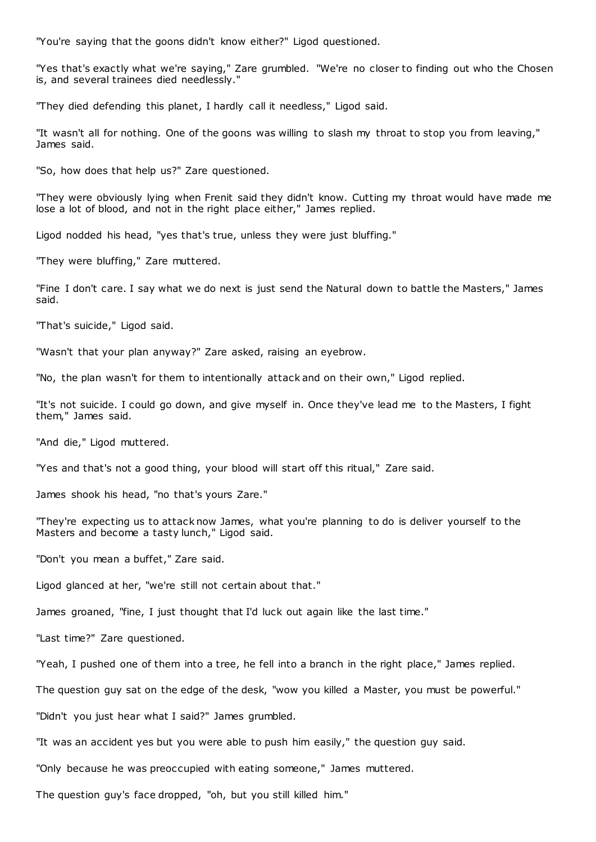"You're saying that the goons didn't know either?" Ligod questioned.

"Yes that's exactly what we're saying," Zare grumbled. "We're no closer to finding out who the Chosen is, and several trainees died needlessly."

"They died defending this planet, I hardly call it needless," Ligod said.

"It wasn't all for nothing. One of the goons was willing to slash my throat to stop you from leaving," James said.

"So, how does that help us?" Zare questioned.

"They were obviously lying when Frenit said they didn't know. Cutting my throat would have made me lose a lot of blood, and not in the right place either," James replied.

Ligod nodded his head, "yes that's true, unless they were just bluffing."

"They were bluffing," Zare muttered.

"Fine I don't care. I say what we do next is just send the Natural down to battle the Masters," James said.

"That's suicide," Ligod said.

"Wasn't that your plan anyway?" Zare asked, raising an eyebrow.

"No, the plan wasn't for them to intentionally attack and on their own," Ligod replied.

"It's not suicide. I could go down, and give myself in. Once they've lead me to the Masters, I fight them," James said.

"And die," Ligod muttered.

"Yes and that's not a good thing, your blood will start off this ritual," Zare said.

James shook his head, "no that's yours Zare."

"They're expecting us to attack now James, what you're planning to do is deliver yourself to the Masters and become a tasty lunch," Ligod said.

"Don't you mean a buffet," Zare said.

Ligod glanced at her, "we're still not certain about that."

James groaned, "fine, I just thought that I'd luck out again like the last time."

"Last time?" Zare questioned.

"Yeah, I pushed one of them into a tree, he fell into a branch in the right place," James replied.

The question guy sat on the edge of the desk, "wow you killed a Master, you must be powerful."

"Didn't you just hear what I said?" James grumbled.

"It was an accident yes but you were able to push him easily," the question guy said.

"Only because he was preoccupied with eating someone," James muttered.

The question guy's face dropped, "oh, but you still killed him."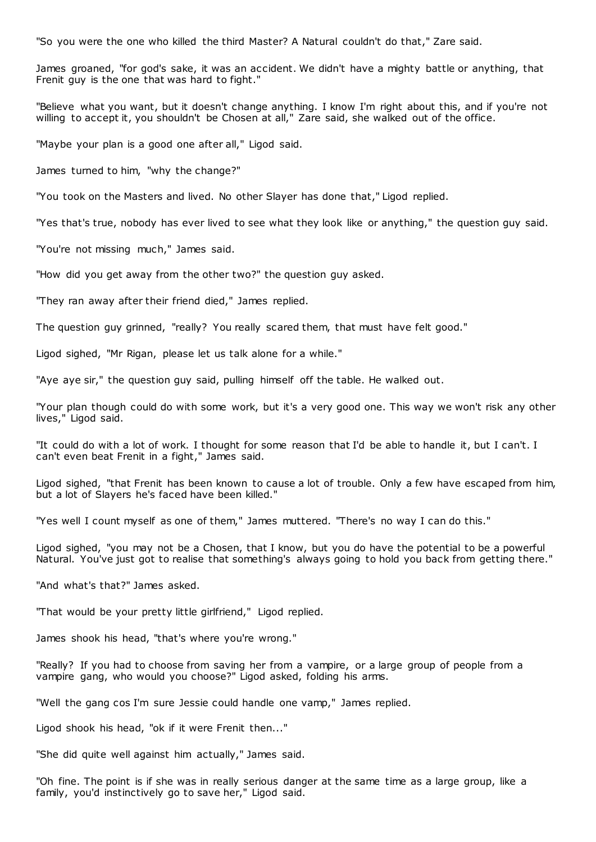"So you were the one who killed the third Master? A Natural couldn't do that," Zare said.

James groaned, "for god's sake, it was an accident. We didn't have a mighty battle or anything, that Frenit guy is the one that was hard to fight."

"Believe what you want, but it doesn't change anything. I know I'm right about this, and if you're not willing to accept it, you shouldn't be Chosen at all," Zare said, she walked out of the office.

"Maybe your plan is a good one after all," Ligod said.

James turned to him, "why the change?"

"You took on the Masters and lived. No other Slayer has done that," Ligod replied.

"Yes that's true, nobody has ever lived to see what they look like or anything," the question guy said.

"You're not missing much," James said.

"How did you get away from the other two?" the question guy asked.

"They ran away after their friend died," James replied.

The question guy grinned, "really? You really scared them, that must have felt good."

Ligod sighed, "Mr Rigan, please let us talk alone for a while."

"Aye aye sir," the question guy said, pulling himself off the table. He walked out.

"Your plan though could do with some work, but it's a very good one. This way we won't risk any other lives," Ligod said.

"It could do with a lot of work. I thought for some reason that I'd be able to handle it, but I can't. I can't even beat Frenit in a fight," James said.

Ligod sighed, "that Frenit has been known to cause a lot of trouble. Only a few have escaped from him, but a lot of Slayers he's faced have been killed."

"Yes well I count myself as one of them," James muttered. "There's no way I can do this."

Ligod sighed, "you may not be a Chosen, that I know, but you do have the potential to be a powerful Natural. You've just got to realise that something's always going to hold you back from getting there."

"And what's that?" James asked.

"That would be your pretty little girlfriend," Ligod replied.

James shook his head, "that's where you're wrong."

"Really? If you had to choose from saving her from a vampire, or a large group of people from a vampire gang, who would you choose?" Ligod asked, folding his arms.

"Well the gang cos I'm sure Jessie could handle one vamp," James replied.

Ligod shook his head, "ok if it were Frenit then..."

"She did quite well against him actually," James said.

"Oh fine. The point is if she was in really serious danger at the same time as a large group, like a family, you'd instinctively go to save her," Ligod said.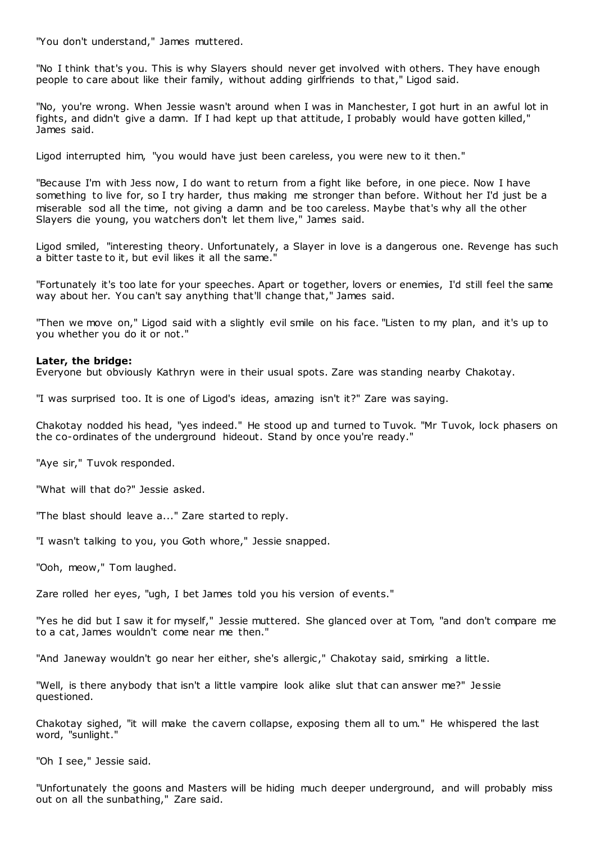"You don't understand," James muttered.

"No I think that's you. This is why Slayers should never get involved with others. They have enough people to care about like their family, without adding girlfriends to that," Ligod said.

"No, you're wrong. When Jessie wasn't around when I was in Manchester, I got hurt in an awful lot in fights, and didn't give a damn. If I had kept up that attitude, I probably would have gotten killed," James said.

Ligod interrupted him, "you would have just been careless, you were new to it then."

"Because I'm with Jess now, I do want to return from a fight like before, in one piece. Now I have something to live for, so I try harder, thus making me stronger than before. Without her I'd just be a miserable sod all the time, not giving a damn and be too careless. Maybe that's why all the other Slayers die young, you watchers don't let them live," James said.

Ligod smiled, "interesting theory. Unfortunately, a Slayer in love is a dangerous one. Revenge has such a bitter taste to it, but evil likes it all the same."

"Fortunately it's too late for your speeches. Apart or together, lovers or enemies, I'd still feel the same way about her. You can't say anything that'll change that," James said.

"Then we move on," Ligod said with a slightly evil smile on his face. "Listen to my plan, and it's up to you whether you do it or not."

# **Later, the bridge:**

Everyone but obviously Kathryn were in their usual spots. Zare was standing nearby Chakotay.

"I was surprised too. It is one of Ligod's ideas, amazing isn't it?" Zare was saying.

Chakotay nodded his head, "yes indeed." He stood up and turned to Tuvok. "Mr Tuvok, lock phasers on the co-ordinates of the underground hideout. Stand by once you're ready."

"Aye sir," Tuvok responded.

"What will that do?" Jessie asked.

"The blast should leave a..." Zare started to reply.

"I wasn't talking to you, you Goth whore," Jessie snapped.

"Ooh, meow," Tom laughed.

Zare rolled her eyes, "ugh, I bet James told you his version of events."

"Yes he did but I saw it for myself," Jessie muttered. She glanced over at Tom, "and don't compare me to a cat, James wouldn't come near me then."

"And Janeway wouldn't go near her either, she's allergic," Chakotay said, smirking a little.

"Well, is there anybody that isn't a little vampire look alike slut that can answer me?" Jessie questioned.

Chakotay sighed, "it will make the cavern collapse, exposing them all to um." He whispered the last word, "sunlight."

"Oh I see," Jessie said.

"Unfortunately the goons and Masters will be hiding much deeper underground, and will probably miss out on all the sunbathing," Zare said.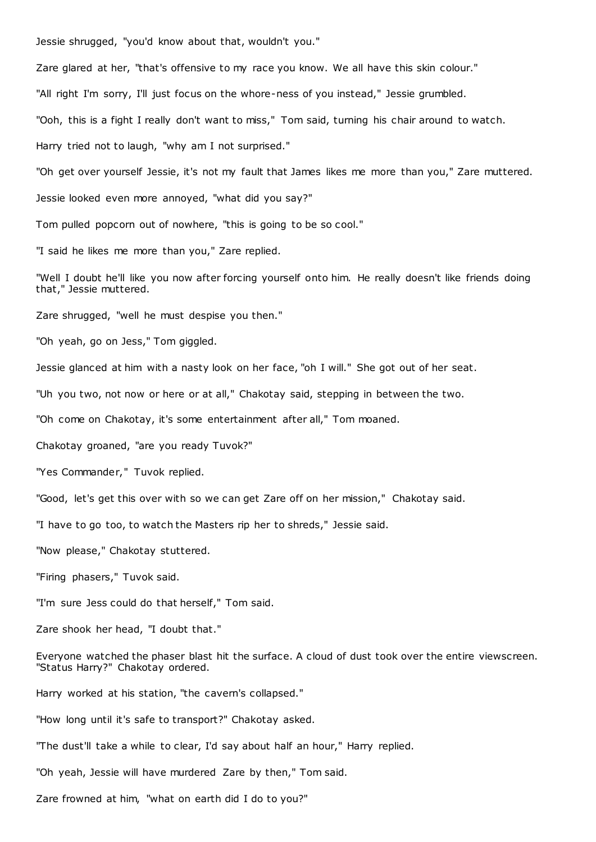Jessie shrugged, "you'd know about that, wouldn't you." Zare glared at her, "that's offensive to my race you know. We all have this skin colour." "All right I'm sorry, I'll just focus on the whore-ness of you instead," Jessie grumbled. "Ooh, this is a fight I really don't want to miss," Tom said, turning his chair around to watch. Harry tried not to laugh, "why am I not surprised." "Oh get over yourself Jessie, it's not my fault that James likes me more than you," Zare muttered. Jessie looked even more annoyed, "what did you say?" Tom pulled popcorn out of nowhere, "this is going to be so cool." "I said he likes me more than you," Zare replied. "Well I doubt he'll like you now after forcing yourself onto him. He really doesn't like friends doing that," Jessie muttered. Zare shrugged, "well he must despise you then." "Oh yeah, go on Jess," Tom giggled. Jessie glanced at him with a nasty look on her face, "oh I will." She got out of her seat. "Uh you two, not now or here or at all," Chakotay said, stepping in between the two. "Oh come on Chakotay, it's some entertainment after all," Tom moaned. Chakotay groaned, "are you ready Tuvok?" "Yes Commander," Tuvok replied. "Good, let's get this over with so we can get Zare off on her mission," Chakotay said. "I have to go too, to watch the Masters rip her to shreds," Jessie said. "Now please," Chakotay stuttered. "Firing phasers," Tuvok said. "I'm sure Jess could do that herself," Tom said. Zare shook her head, "I doubt that." Everyone watched the phaser blast hit the surface. A cloud of dust took over the entire viewscreen. "Status Harry?" Chakotay ordered. Harry worked at his station, "the cavern's collapsed." "How long until it's safe to transport?" Chakotay asked. "The dust'll take a while to clear, I'd say about half an hour," Harry replied.

"Oh yeah, Jessie will have murdered Zare by then," Tom said.

Zare frowned at him, "what on earth did I do to you?"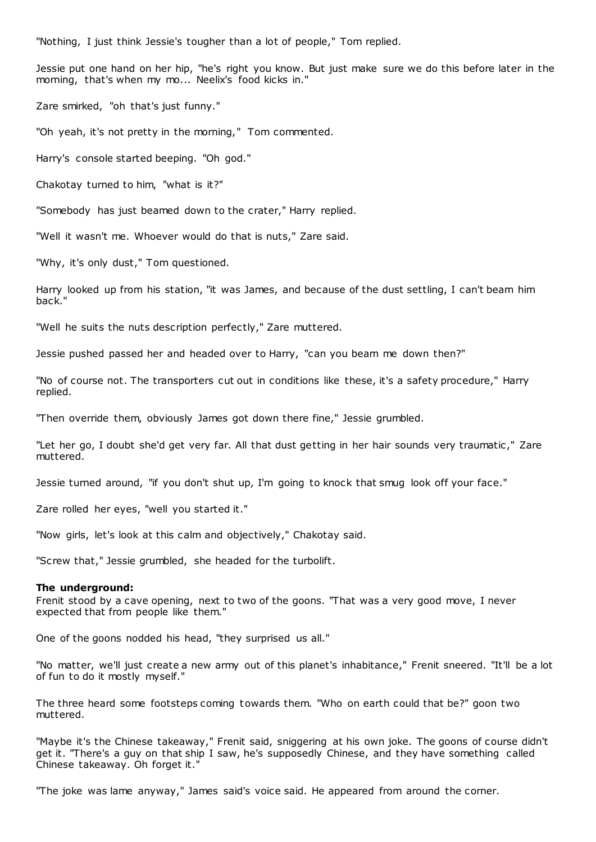"Nothing, I just think Jessie's tougher than a lot of people," Tom replied.

Jessie put one hand on her hip, "he's right you know. But just make sure we do this before later in the morning, that's when my mo... Neelix's food kicks in."

Zare smirked, "oh that's just funny."

"Oh yeah, it's not pretty in the morning," Tom commented.

Harry's console started beeping. "Oh god."

Chakotay turned to him, "what is it?"

"Somebody has just beamed down to the crater," Harry replied.

"Well it wasn't me. Whoever would do that is nuts," Zare said.

"Why, it's only dust," Tom questioned.

Harry looked up from his station, "it was James, and because of the dust settling, I can't beam him back."

"Well he suits the nuts description perfectly," Zare muttered.

Jessie pushed passed her and headed over to Harry, "can you beam me down then?"

"No of course not. The transporters cut out in conditions like these, it's a safety procedure," Harry replied.

"Then override them, obviously James got down there fine," Jessie grumbled.

"Let her go, I doubt she'd get very far. All that dust getting in her hair sounds very traumatic ," Zare muttered.

Jessie turned around, "if you don't shut up, I'm going to knock that smug look off your face."

Zare rolled her eyes, "well you started it."

"Now girls, let's look at this calm and objectively," Chakotay said.

"Screw that," Jessie grumbled, she headed for the turbolift.

#### **The underground:**

Frenit stood by a cave opening, next to two of the goons. "That was a very good move, I never expected that from people like them."

One of the goons nodded his head, "they surprised us all."

"No matter, we'll just create a new army out of this planet's inhabitance," Frenit sneered. "It'll be a lot of fun to do it mostly myself."

The three heard some footsteps coming towards them. "Who on earth could that be?" goon two muttered.

"Maybe it's the Chinese takeaway," Frenit said, sniggering at his own joke. The goons of course didn't get it. "There's a guy on that ship I saw, he's supposedly Chinese, and they have something called Chinese takeaway. Oh forget it."

"The joke was lame anyway," James said's voice said. He appeared from around the corner.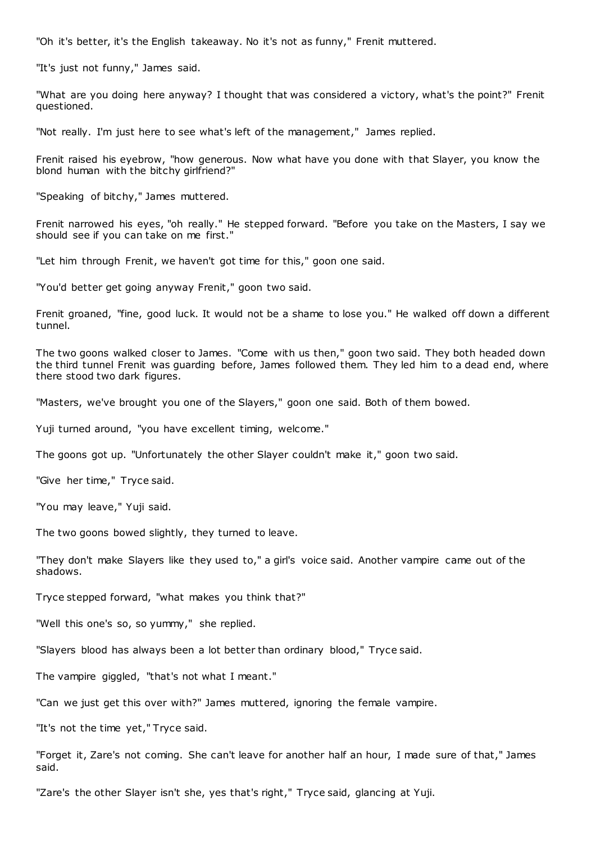"Oh it's better, it's the English takeaway. No it's not as funny," Frenit muttered.

"It's just not funny," James said.

"What are you doing here anyway? I thought that was considered a victory, what's the point?" Frenit questioned.

"Not really. I'm just here to see what's left of the management," James replied.

Frenit raised his eyebrow, "how generous. Now what have you done with that Slayer, you know the blond human with the bitchy girlfriend?"

"Speaking of bitchy," James muttered.

Frenit narrowed his eyes, "oh really." He stepped forward. "Before you take on the Masters, I say we should see if you can take on me first."

"Let him through Frenit, we haven't got time for this," goon one said.

"You'd better get going anyway Frenit," goon two said.

Frenit groaned, "fine, good luck. It would not be a shame to lose you." He walked off down a different tunnel.

The two goons walked closer to James. "Come with us then," goon two said. They both headed down the third tunnel Frenit was guarding before, James followed them. They led him to a dead end, where there stood two dark figures.

"Masters, we've brought you one of the Slayers," goon one said. Both of them bowed.

Yuji turned around, "you have excellent timing, welcome."

The goons got up. "Unfortunately the other Slayer couldn't make it," goon two said.

"Give her time," Tryce said.

"You may leave," Yuji said.

The two goons bowed slightly, they turned to leave.

"They don't make Slayers like they used to," a girl's voice said. Another vampire came out of the shadows.

Tryce stepped forward, "what makes you think that?"

"Well this one's so, so yummy," she replied.

"Slayers blood has always been a lot better than ordinary blood," Tryce said.

The vampire giggled, "that's not what I meant."

"Can we just get this over with?" James muttered, ignoring the female vampire.

"It's not the time yet," Tryce said.

"Forget it, Zare's not coming. She can't leave for another half an hour, I made sure of that," James said.

"Zare's the other Slayer isn't she, yes that's right," Tryce said, glancing at Yuji.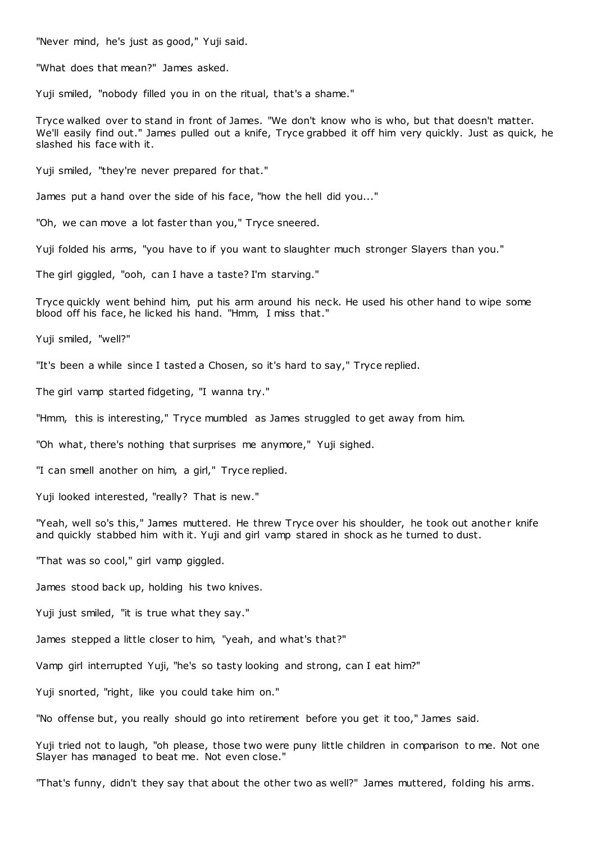"Never mind, he's just as good," Yuji said.

"What does that mean?" James asked.

Yuji smiled, "nobody filled you in on the ritual, that's a shame."

Tryce walked over to stand in front of James. "We don't know who is who, but that doesn't matter. We'll easily find out." James pulled out a knife, Tryce grabbed it off him very quickly. Just as quick, he slashed his face with it.

Yuji smiled, "they're never prepared for that."

James put a hand over the side of his face, "how the hell did you..."

"Oh, we can move a lot faster than you," Tryce sneered.

Yuji folded his arms, "you have to if you want to slaughter much stronger Slayers than you."

The girl giggled, "ooh, can I have a taste? I'm starving."

Tryce quickly went behind him, put his arm around his neck. He used his other hand to wipe some blood off his face, he licked his hand. "Hmm, I miss that."

Yuji smiled, "well?"

"It's been a while since I tasted a Chosen, so it's hard to say," Tryce replied.

The girl vamp started fidgeting, "I wanna try."

"Hmm, this is interesting," Tryce mumbled as James struggled to get away from him.

"Oh what, there's nothing that surprises me anymore," Yuji sighed.

"I can smell another on him, a girl," Tryce replied.

Yuji looked interested, "really? That is new."

"Yeah, well so's this," James muttered. He threw Tryce over his shoulder, he took out another knife and quickly stabbed him with it. Yuji and girl vamp stared in shock as he turned to dust.

"That was so cool," girl vamp giggled.

James stood back up, holding his two knives.

Yuji just smiled, "it is true what they say."

James stepped a little closer to him, "yeah, and what's that?"

Vamp girl interrupted Yuji, "he's so tasty looking and strong, can I eat him?"

Yuji snorted, "right, like you could take him on."

"No offense but, you really should go into retirement before you get it too," James said.

Yuji tried not to laugh, "oh please, those two were puny little children in comparison to me. Not one Slayer has managed to beat me. Not even close."

"That's funny, didn't they say that about the other two as well?" James muttered, folding his arms.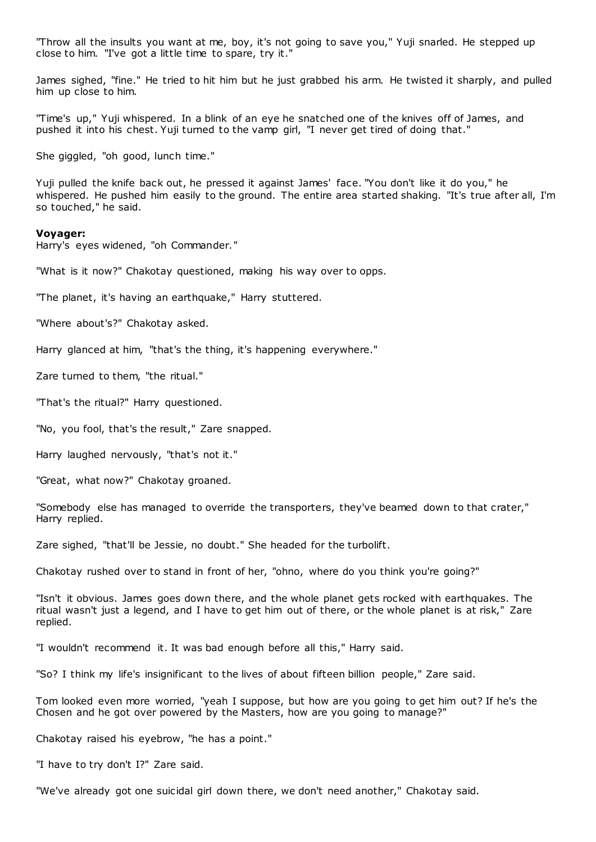"Throw all the insults you want at me, boy, it's not going to save you," Yuji snarled. He stepped up close to him. "I've got a little time to spare, try it."

James sighed, "fine." He tried to hit him but he just grabbed his arm. He twisted it sharply, and pulled him up close to him.

"Time's up," Yuji whispered. In a blink of an eye he snatched one of the knives off of James, and pushed it into his chest. Yuji turned to the vamp girl, "I never get tired of doing that."

She giggled, "oh good, lunch time."

Yuji pulled the knife back out, he pressed it against James' face. "You don't like it do you," he whispered. He pushed him easily to the ground. The entire area started shaking. "It's true after all, I'm so touched," he said.

#### **Voyager:**

Harry's eyes widened, "oh Commander."

"What is it now?" Chakotay questioned, making his way over to opps.

"The planet, it's having an earthquake," Harry stuttered.

"Where about's?" Chakotay asked.

Harry glanced at him, "that's the thing, it's happening everywhere."

Zare turned to them, "the ritual."

"That's the ritual?" Harry questioned.

"No, you fool, that's the result," Zare snapped.

Harry laughed nervously, "that's not it."

"Great, what now?" Chakotay groaned.

"Somebody else has managed to override the transporters, they've beamed down to that crater," Harry replied.

Zare sighed, "that'll be Jessie, no doubt." She headed for the turbolift.

Chakotay rushed over to stand in front of her, "ohno, where do you think you're going?"

"Isn't it obvious. James goes down there, and the whole planet gets rocked with earthquakes. The ritual wasn't just a legend, and I have to get him out of there, or the whole planet is at risk," Zare replied.

"I wouldn't recommend it. It was bad enough before all this," Harry said.

"So? I think my life's insignificant to the lives of about fifteen billion people," Zare said.

Tom looked even more worried, "yeah I suppose, but how are you going to get him out? If he's the Chosen and he got over powered by the Masters, how are you going to manage?"

Chakotay raised his eyebrow, "he has a point."

"I have to try don't I?" Zare said.

"We've already got one suicidal girl down there, we don't need another," Chakotay said.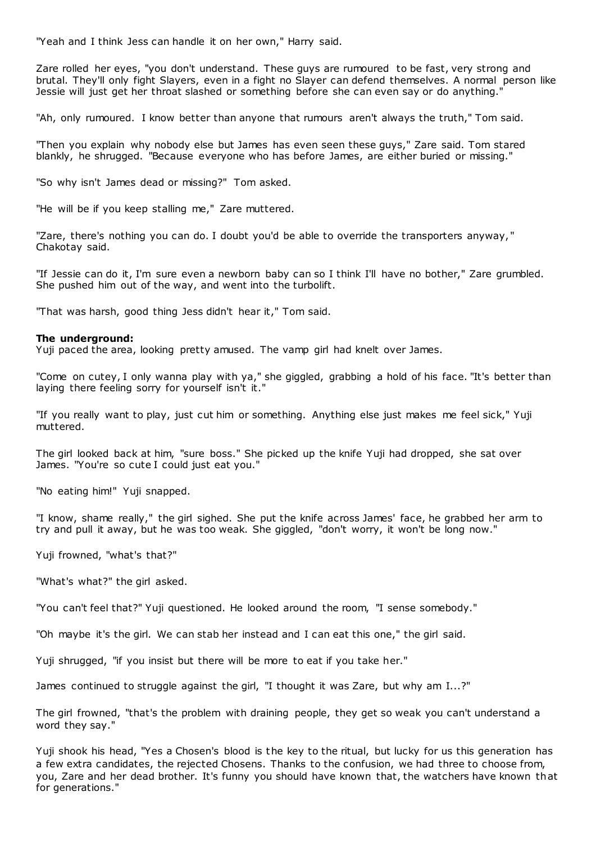"Yeah and I think Jess can handle it on her own," Harry said.

Zare rolled her eyes, "you don't understand. These guys are rumoured to be fast, very strong and brutal. They'll only fight Slayers, even in a fight no Slayer can defend themselves. A normal person like Jessie will just get her throat slashed or something before she can even say or do anything."

"Ah, only rumoured. I know better than anyone that rumours aren't always the truth," Tom said.

"Then you explain why nobody else but James has even seen these guys," Zare said. Tom stared blankly, he shrugged. "Because everyone who has before James, are either buried or missing."

"So why isn't James dead or missing?" Tom asked.

"He will be if you keep stalling me," Zare muttered.

"Zare, there's nothing you can do. I doubt you'd be able to override the transporters anyway, " Chakotay said.

"If Jessie can do it, I'm sure even a newborn baby can so I think I'll have no bother," Zare grumbled. She pushed him out of the way, and went into the turbolift.

"That was harsh, good thing Jess didn't hear it," Tom said.

# **The underground:**

Yuji paced the area, looking pretty amused. The vamp girl had knelt over James.

"Come on cutey, I only wanna play with ya," she giggled, grabbing a hold of his face. "It's better than laying there feeling sorry for yourself isn't it."

"If you really want to play, just cut him or something. Anything else just makes me feel sick," Yuji muttered.

The girl looked back at him, "sure boss." She picked up the knife Yuji had dropped, she sat over James. "You're so cute I could just eat you."

"No eating him!" Yuji snapped.

"I know, shame really," the girl sighed. She put the knife across James' face, he grabbed her arm to try and pull it away, but he was too weak. She giggled, "don't worry, it won't be long now."

Yuji frowned, "what's that?"

"What's what?" the girl asked.

"You can't feel that?" Yuji questioned. He looked around the room, "I sense somebody."

"Oh maybe it's the girl. We can stab her instead and I can eat this one," the girl said.

Yuji shrugged, "if you insist but there will be more to eat if you take her."

James continued to struggle against the girl, "I thought it was Zare, but why am I...?"

The girl frowned, "that's the problem with draining people, they get so weak you can't understand a word they say."

Yuji shook his head, "Yes a Chosen's blood is the key to the ritual, but lucky for us this generation has a few extra candidates, the rejected Chosens. Thanks to the confusion, we had three to choose from, you, Zare and her dead brother. It's funny you should have known that, the watchers have known that for generations."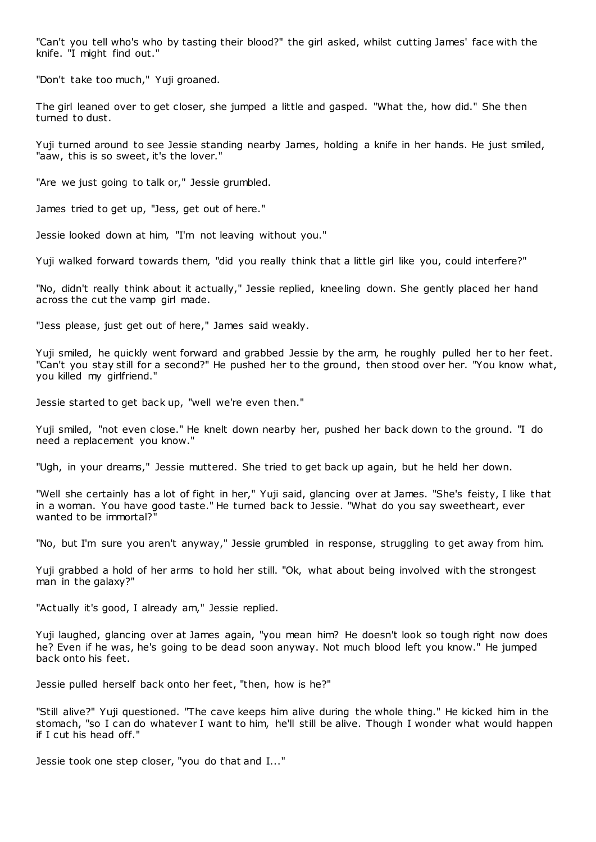"Can't you tell who's who by tasting their blood?" the girl asked, whilst cutting James' face with the knife. "I might find out."

"Don't take too much," Yuji groaned.

The girl leaned over to get closer, she jumped a little and gasped. "What the, how did." She then turned to dust.

Yuji turned around to see Jessie standing nearby James, holding a knife in her hands. He just smiled, "aaw, this is so sweet, it's the lover."

"Are we just going to talk or," Jessie grumbled.

James tried to get up, "Jess, get out of here."

Jessie looked down at him, "I'm not leaving without you."

Yuji walked forward towards them, "did you really think that a little girl like you, could interfere?"

"No, didn't really think about it actually," Jessie replied, kneeling down. She gently placed her hand across the cut the vamp girl made.

"Jess please, just get out of here," James said weakly.

Yuji smiled, he quickly went forward and grabbed Jessie by the arm, he roughly pulled her to her feet. "Can't you stay still for a second?" He pushed her to the ground, then stood over her. "You know what, you killed my girlfriend."

Jessie started to get back up, "well we're even then."

Yuji smiled, "not even close." He knelt down nearby her, pushed her back down to the ground. "I do need a replacement you know."

"Ugh, in your dreams," Jessie muttered. She tried to get back up again, but he held her down.

"Well she certainly has a lot of fight in her," Yuji said, glancing over at James. "She's feisty, I like that in a woman. You have good taste." He turned back to Jessie. "What do you say sweetheart, ever wanted to be immortal?"

"No, but I'm sure you aren't anyway," Jessie grumbled in response, struggling to get away from him.

Yuji grabbed a hold of her arms to hold her still. "Ok, what about being involved with the strongest man in the galaxy?"

"Actually it's good, I already am," Jessie replied.

Yuji laughed, glancing over at James again, "you mean him? He doesn't look so tough right now does he? Even if he was, he's going to be dead soon anyway. Not much blood left you know." He jumped back onto his feet.

Jessie pulled herself back onto her feet, "then, how is he?"

"Still alive?" Yuji questioned. "The cave keeps him alive during the whole thing." He kicked him in the stomach, "so I can do whatever I want to him, he'll still be alive. Though I wonder what would happen if I cut his head off."

Jessie took one step closer, "you do that and I..."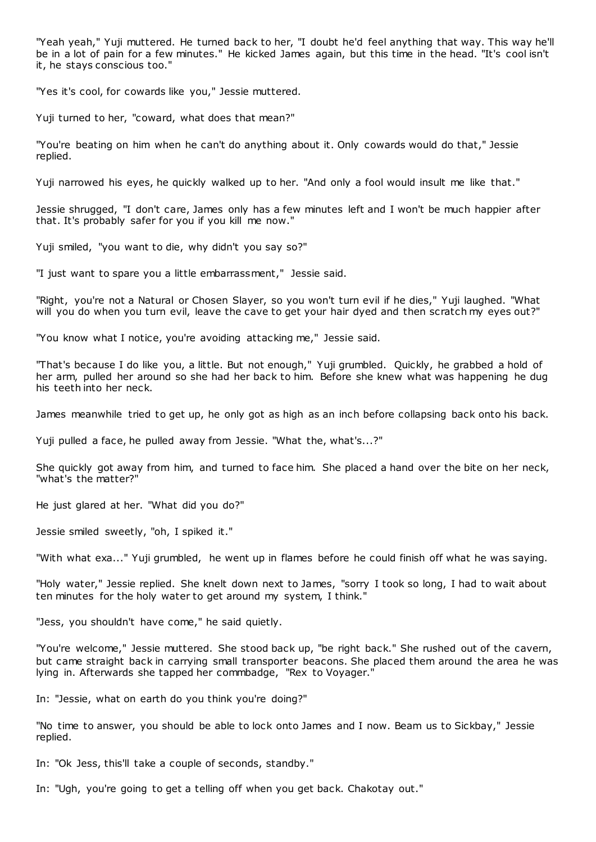"Yeah yeah," Yuji muttered. He turned back to her, "I doubt he'd feel anything that way. This way he'll be in a lot of pain for a few minutes." He kicked James again, but this time in the head. "It's cool isn't it, he stays conscious too."

"Yes it's cool, for cowards like you," Jessie muttered.

Yuji turned to her, "coward, what does that mean?"

"You're beating on him when he can't do anything about it. Only cowards would do that," Jessie replied.

Yuji narrowed his eyes, he quickly walked up to her. "And only a fool would insult me like that."

Jessie shrugged, "I don't care, James only has a few minutes left and I won't be much happier after that. It's probably safer for you if you kill me now."

Yuji smiled, "you want to die, why didn't you say so?"

"I just want to spare you a little embarrassment," Jessie said.

"Right, you're not a Natural or Chosen Slayer, so you won't turn evil if he dies," Yuji laughed. "What will you do when you turn evil, leave the cave to get your hair dyed and then scratch my eyes out?"

"You know what I notice, you're avoiding attacking me," Jessie said.

"That's because I do like you, a little. But not enough," Yuji grumbled. Quickly, he grabbed a hold of her arm, pulled her around so she had her back to him. Before she knew what was happening he dug his teeth into her neck.

James meanwhile tried to get up, he only got as high as an inch before collapsing back onto his back.

Yuji pulled a face, he pulled away from Jessie. "What the, what's...?"

She quickly got away from him, and turned to face him. She placed a hand over the bite on her neck, "what's the matter?"

He just glared at her. "What did you do?"

Jessie smiled sweetly, "oh, I spiked it."

"With what exa..." Yuji grumbled, he went up in flames before he could finish off what he was saying.

"Holy water," Jessie replied. She knelt down next to James, "sorry I took so long, I had to wait about ten minutes for the holy water to get around my system, I think."

"Jess, you shouldn't have come," he said quietly.

"You're welcome," Jessie muttered. She stood back up, "be right back." She rushed out of the cavern, but came straight back in carrying small transporter beacons. She placed them around the area he was lying in. Afterwards she tapped her commbadge, "Rex to Voyager."

In: "Jessie, what on earth do you think you're doing?"

"No time to answer, you should be able to lock onto James and I now. Beam us to Sickbay," Jessie replied.

In: "Ok Jess, this'll take a couple of seconds, standby."

In: "Ugh, you're going to get a telling off when you get back. Chakotay out."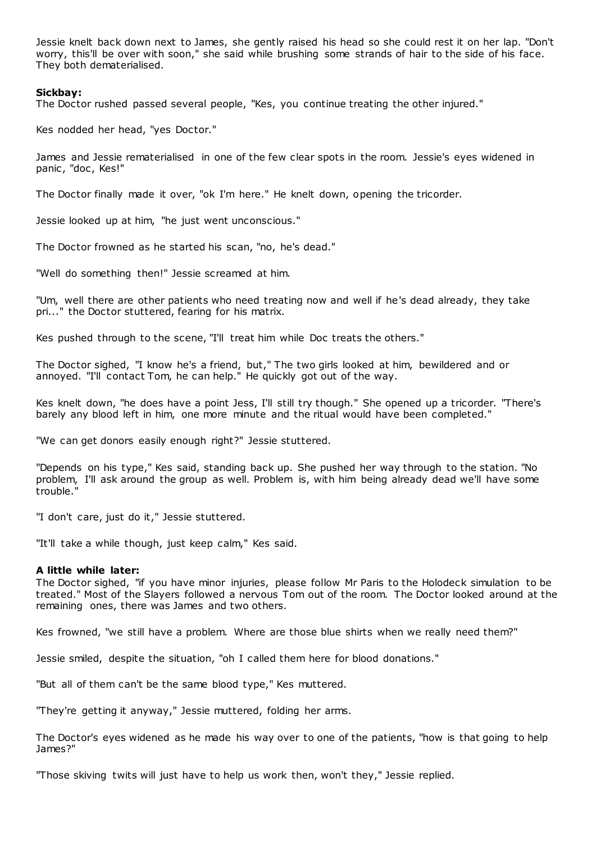Jessie knelt back down next to James, she gently raised his head so she could rest it on her lap. "Don't worry, this'll be over with soon," she said while brushing some strands of hair to the side of his face. They both dematerialised.

## **Sickbay:**

The Doctor rushed passed several people, "Kes, you continue treating the other injured."

Kes nodded her head, "yes Doctor."

James and Jessie rematerialised in one of the few clear spots in the room. Jessie's eyes widened in panic, "doc, Kes!"

The Doctor finally made it over, "ok I'm here." He knelt down, opening the tricorder.

Jessie looked up at him, "he just went unconscious."

The Doctor frowned as he started his scan, "no, he's dead."

"Well do something then!" Jessie screamed at him.

"Um, well there are other patients who need treating now and well if he's dead already, they take pri..." the Doctor stuttered, fearing for his matrix.

Kes pushed through to the scene, "I'll treat him while Doc treats the others."

The Doctor sighed, "I know he's a friend, but," The two girls looked at him, bewildered and or annoyed. "I'll contact Tom, he can help." He quickly got out of the way.

Kes knelt down, "he does have a point Jess, I'll still try though." She opened up a tricorder. "There's barely any blood left in him, one more minute and the ritual would have been completed."

"We can get donors easily enough right?" Jessie stuttered.

"Depends on his type," Kes said, standing back up. She pushed her way through to the station. "No problem, I'll ask around the group as well. Problem is, with him being already dead we'll have some trouble."

"I don't care, just do it," Jessie stuttered.

"It'll take a while though, just keep calm," Kes said.

## **A little while later:**

The Doctor sighed, "if you have minor injuries, please follow Mr Paris to the Holodeck simulation to be treated." Most of the Slayers followed a nervous Tom out of the room. The Doctor looked around at the remaining ones, there was James and two others.

Kes frowned, "we still have a problem. Where are those blue shirts when we really need them?"

Jessie smiled, despite the situation, "oh I called them here for blood donations."

"But all of them can't be the same blood type," Kes muttered.

"They're getting it anyway," Jessie muttered, folding her arms.

The Doctor's eyes widened as he made his way over to one of the patients, "how is that going to help James?"

"Those skiving twits will just have to help us work then, won't they," Jessie replied.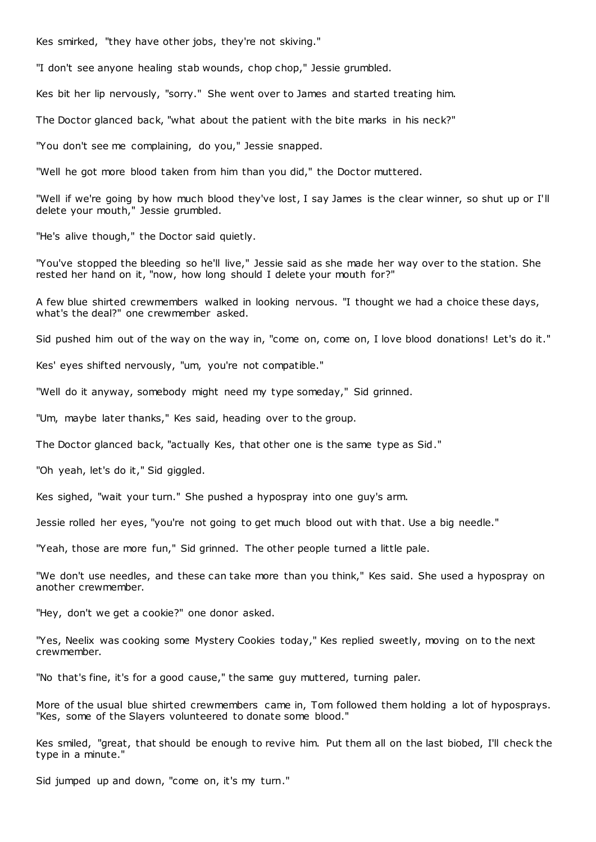Kes smirked, "they have other jobs, they're not skiving."

"I don't see anyone healing stab wounds, chop chop," Jessie grumbled.

Kes bit her lip nervously, "sorry." She went over to James and started treating him.

The Doctor glanced back, "what about the patient with the bite marks in his neck?"

"You don't see me complaining, do you," Jessie snapped.

"Well he got more blood taken from him than you did," the Doctor muttered.

"Well if we're going by how much blood they've lost, I say James is the clear winner, so shut up or I'll delete your mouth," Jessie grumbled.

"He's alive though," the Doctor said quietly.

"You've stopped the bleeding so he'll live," Jessie said as she made her way over to the station. She rested her hand on it, "now, how long should I delete your mouth for?"

A few blue shirted crewmembers walked in looking nervous. "I thought we had a choice these days, what's the deal?" one crewmember asked.

Sid pushed him out of the way on the way in, "come on, come on, I love blood donations! Let's do it."

Kes' eyes shifted nervously, "um, you're not compatible."

"Well do it anyway, somebody might need my type someday," Sid grinned.

"Um, maybe later thanks," Kes said, heading over to the group.

The Doctor glanced back, "actually Kes, that other one is the same type as Sid."

"Oh yeah, let's do it," Sid giggled.

Kes sighed, "wait your turn." She pushed a hypospray into one guy's arm.

Jessie rolled her eyes, "you're not going to get much blood out with that. Use a big needle."

"Yeah, those are more fun," Sid grinned. The other people turned a little pale.

"We don't use needles, and these can take more than you think," Kes said. She used a hypospray on another crewmember.

"Hey, don't we get a cookie?" one donor asked.

"Yes, Neelix was cooking some Mystery Cookies today," Kes replied sweetly, moving on to the next crewmember.

"No that's fine, it's for a good cause," the same guy muttered, turning paler.

More of the usual blue shirted crewmembers came in, Tom followed them holding a lot of hyposprays. "Kes, some of the Slayers volunteered to donate some blood."

Kes smiled, "great, that should be enough to revive him. Put them all on the last biobed, I'll check the type in a minute."

Sid jumped up and down, "come on, it's my turn."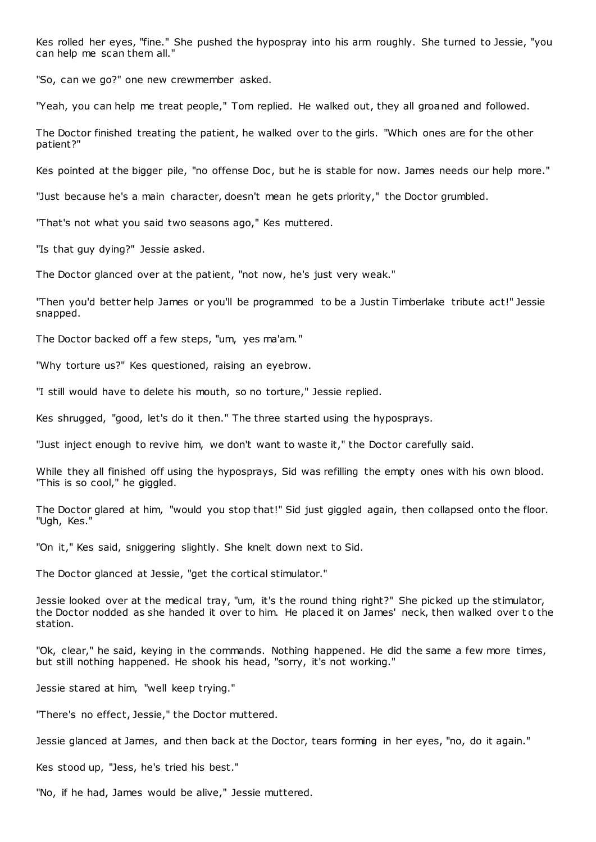Kes rolled her eyes, "fine." She pushed the hypospray into his arm roughly. She turned to Jessie, "you can help me scan them all."

"So, can we go?" one new crewmember asked.

"Yeah, you can help me treat people," Tom replied. He walked out, they all groaned and followed.

The Doctor finished treating the patient, he walked over to the girls. "Which ones are for the other patient?"

Kes pointed at the bigger pile, "no offense Doc, but he is stable for now. James needs our help more."

"Just because he's a main character, doesn't mean he gets priority," the Doctor grumbled.

"That's not what you said two seasons ago," Kes muttered.

"Is that guy dying?" Jessie asked.

The Doctor glanced over at the patient, "not now, he's just very weak."

"Then you'd better help James or you'll be programmed to be a Justin Timberlake tribute act!" Jessie snapped.

The Doctor backed off a few steps, "um, yes ma'am."

"Why torture us?" Kes questioned, raising an eyebrow.

"I still would have to delete his mouth, so no torture," Jessie replied.

Kes shrugged, "good, let's do it then." The three started using the hyposprays.

"Just inject enough to revive him, we don't want to waste it," the Doctor carefully said.

While they all finished off using the hyposprays, Sid was refilling the empty ones with his own blood. "This is so cool," he giggled.

The Doctor glared at him, "would you stop that!" Sid just giggled again, then collapsed onto the floor. "Ugh, Kes."

"On it," Kes said, sniggering slightly. She knelt down next to Sid.

The Doctor glanced at Jessie, "get the cortical stimulator."

Jessie looked over at the medical tray, "um, it's the round thing right?" She picked up the stimulator, the Doctor nodded as she handed it over to him. He placed it on James' neck, then walked over to the station.

"Ok, clear," he said, keying in the commands. Nothing happened. He did the same a few more times, but still nothing happened. He shook his head, "sorry, it's not working."

Jessie stared at him, "well keep trying."

"There's no effect, Jessie," the Doctor muttered.

Jessie glanced at James, and then back at the Doctor, tears forming in her eyes, "no, do it again."

Kes stood up, "Jess, he's tried his best."

"No, if he had, James would be alive," Jessie muttered.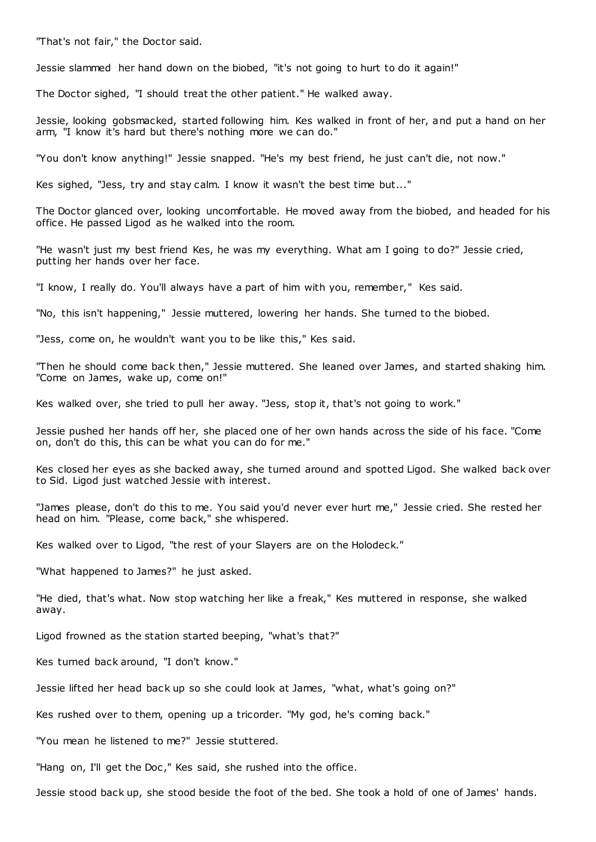"That's not fair," the Doctor said.

Jessie slammed her hand down on the biobed, "it's not going to hurt to do it again!"

The Doctor sighed, "I should treat the other patient." He walked away.

Jessie, looking gobsmacked, started following him. Kes walked in front of her, and put a hand on her arm, "I know it's hard but there's nothing more we can do."

"You don't know anything!" Jessie snapped. "He's my best friend, he just can't die, not now."

Kes sighed, "Jess, try and stay calm. I know it wasn't the best time but..."

The Doctor glanced over, looking uncomfortable. He moved away from the biobed, and headed for his office. He passed Ligod as he walked into the room.

"He wasn't just my best friend Kes, he was my everything. What am I going to do?" Jessie cried, putting her hands over her face.

"I know, I really do. You'll always have a part of him with you, remember," Kes said.

"No, this isn't happening," Jessie muttered, lowering her hands. She turned to the biobed.

"Jess, come on, he wouldn't want you to be like this," Kes said.

"Then he should come back then," Jessie muttered. She leaned over James, and started shaking him. "Come on James, wake up, come on!"

Kes walked over, she tried to pull her away. "Jess, stop it, that's not going to work."

Jessie pushed her hands off her, she placed one of her own hands across the side of his face. "Come on, don't do this, this can be what you can do for me."

Kes closed her eyes as she backed away, she turned around and spotted Ligod. She walked back over to Sid. Ligod just watched Jessie with interest.

"James please, don't do this to me. You said you'd never ever hurt me," Jessie cried. She rested her head on him. "Please, come back," she whispered.

Kes walked over to Ligod, "the rest of your Slayers are on the Holodeck."

"What happened to James?" he just asked.

"He died, that's what. Now stop watching her like a freak," Kes muttered in response, she walked away.

Ligod frowned as the station started beeping, "what's that?"

Kes turned back around, "I don't know."

Jessie lifted her head back up so she could look at James, "what, what's going on?"

Kes rushed over to them, opening up a tricorder. "My god, he's coming back."

"You mean he listened to me?" Jessie stuttered.

"Hang on, I'll get the Doc," Kes said, she rushed into the office.

Jessie stood back up, she stood beside the foot of the bed. She took a hold of one of James' hands.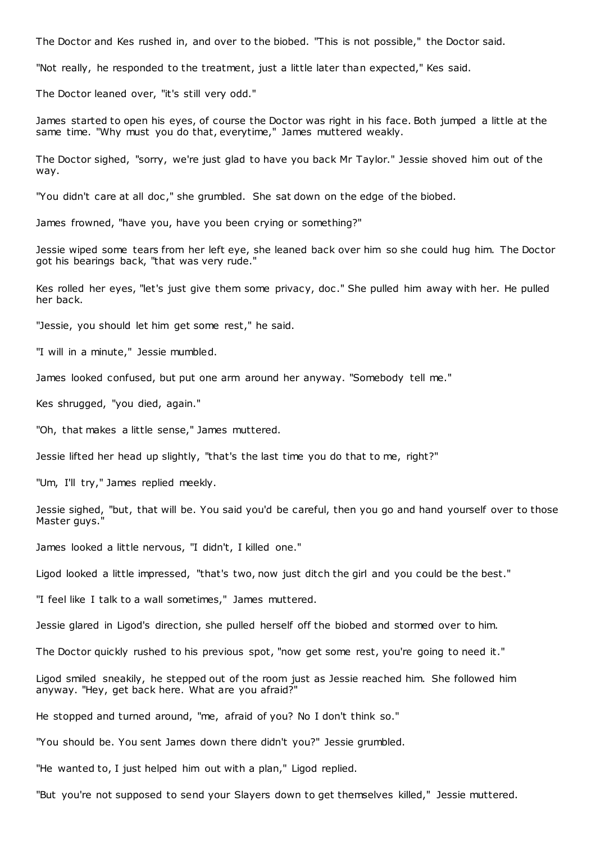The Doctor and Kes rushed in, and over to the biobed. "This is not possible," the Doctor said.

"Not really, he responded to the treatment, just a little later than expected," Kes said.

The Doctor leaned over, "it's still very odd."

James started to open his eyes, of course the Doctor was right in his face. Both jumped a little at the same time. "Why must you do that, everytime," James muttered weakly.

The Doctor sighed, "sorry, we're just glad to have you back Mr Taylor." Jessie shoved him out of the way.

"You didn't care at all doc ," she grumbled. She sat down on the edge of the biobed.

James frowned, "have you, have you been crying or something?"

Jessie wiped some tears from her left eye, she leaned back over him so she could hug him. The Doctor got his bearings back, "that was very rude."

Kes rolled her eyes, "let's just give them some privacy, doc." She pulled him away with her. He pulled her back.

"Jessie, you should let him get some rest," he said.

"I will in a minute," Jessie mumbled.

James looked confused, but put one arm around her anyway. "Somebody tell me."

Kes shrugged, "you died, again."

"Oh, that makes a little sense," James muttered.

Jessie lifted her head up slightly, "that's the last time you do that to me, right?"

"Um, I'll try," James replied meekly.

Jessie sighed, "but, that will be. You said you'd be careful, then you go and hand yourself over to those Master guys."

James looked a little nervous, "I didn't, I killed one."

Ligod looked a little impressed, "that's two, now just ditch the girl and you could be the best."

"I feel like I talk to a wall sometimes," James muttered.

Jessie glared in Ligod's direction, she pulled herself off the biobed and stormed over to him.

The Doctor quickly rushed to his previous spot, "now get some rest, you're going to need it."

Ligod smiled sneakily, he stepped out of the room just as Jessie reached him. She followed him anyway. "Hey, get back here. What are you afraid?"

He stopped and turned around, "me, afraid of you? No I don't think so."

"You should be. You sent James down there didn't you?" Jessie grumbled.

"He wanted to, I just helped him out with a plan," Ligod replied.

"But you're not supposed to send your Slayers down to get themselves killed," Jessie muttered.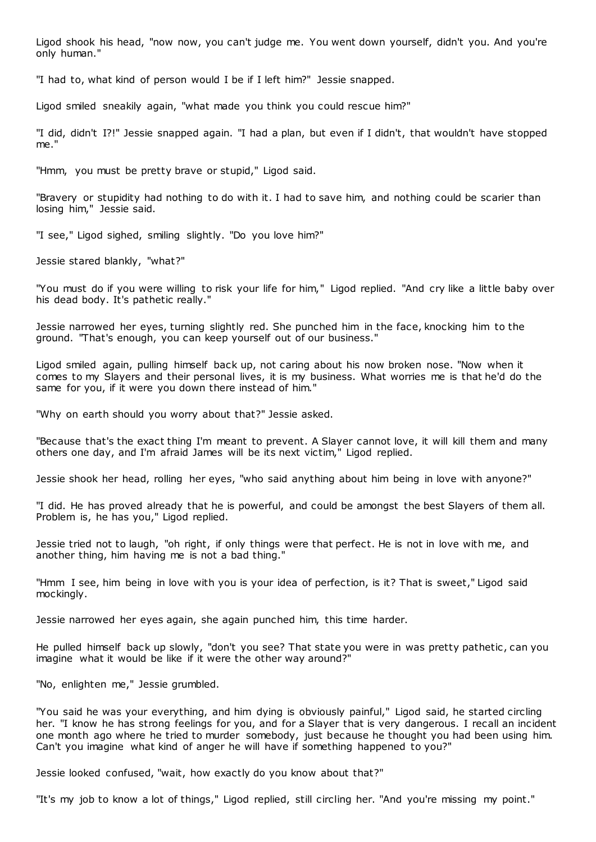Ligod shook his head, "now now, you can't judge me. You went down yourself, didn't you. And you're only human."

"I had to, what kind of person would I be if I left him?" Jessie snapped.

Ligod smiled sneakily again, "what made you think you could rescue him?"

"I did, didn't I?!" Jessie snapped again. "I had a plan, but even if I didn't, that wouldn't have stopped me."

"Hmm, you must be pretty brave or stupid," Ligod said.

"Bravery or stupidity had nothing to do with it. I had to save him, and nothing could be scarier than losing him," Jessie said.

"I see," Ligod sighed, smiling slightly. "Do you love him?"

Jessie stared blankly, "what?"

"You must do if you were willing to risk your life for him," Ligod replied. "And cry like a little baby over his dead body. It's pathetic really."

Jessie narrowed her eyes, turning slightly red. She punched him in the face, knocking him to the ground. "That's enough, you can keep yourself out of our business."

Ligod smiled again, pulling himself back up, not caring about his now broken nose. "Now when it comes to my Slayers and their personal lives, it is my business. What worries me is that he'd do the same for you, if it were you down there instead of him."

"Why on earth should you worry about that?" Jessie asked.

"Because that's the exact thing I'm meant to prevent. A Slayer cannot love, it will kill them and many others one day, and I'm afraid James will be its next victim," Ligod replied.

Jessie shook her head, rolling her eyes, "who said anything about him being in love with anyone?"

"I did. He has proved already that he is powerful, and could be amongst the best Slayers of them all. Problem is, he has you," Ligod replied.

Jessie tried not to laugh, "oh right, if only things were that perfect. He is not in love with me, and another thing, him having me is not a bad thing."

"Hmm I see, him being in love with you is your idea of perfection, is it? That is sweet," Ligod said mockingly.

Jessie narrowed her eyes again, she again punched him, this time harder.

He pulled himself back up slowly, "don't you see? That state you were in was pretty pathetic, can you imagine what it would be like if it were the other way around?"

"No, enlighten me," Jessie grumbled.

"You said he was your everything, and him dying is obviously painful," Ligod said, he started circling her. "I know he has strong feelings for you, and for a Slayer that is very dangerous. I recall an incident one month ago where he tried to murder somebody, just because he thought you had been using him. Can't you imagine what kind of anger he will have if something happened to you?"

Jessie looked confused, "wait, how exactly do you know about that?"

"It's my job to know a lot of things," Ligod replied, still circling her. "And you're missing my point."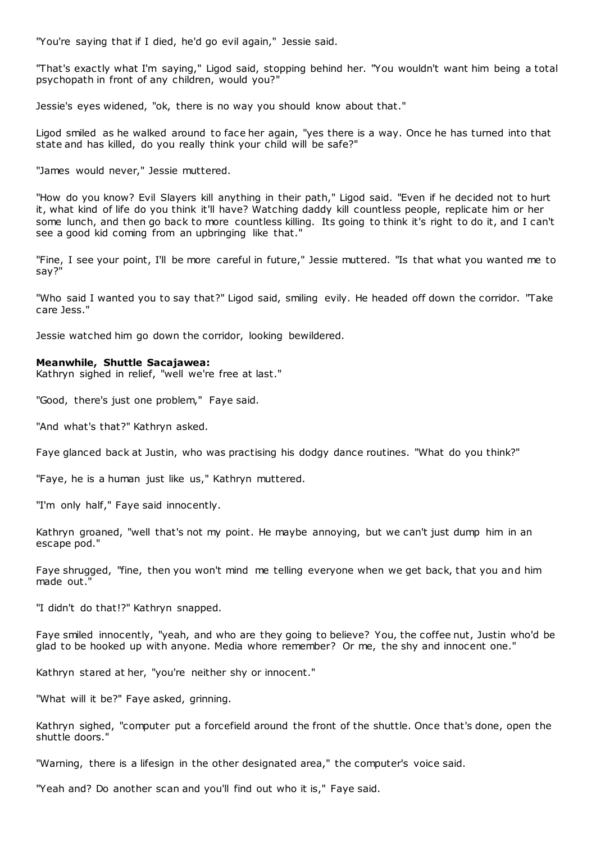"You're saying that if I died, he'd go evil again," Jessie said.

"That's exactly what I'm saying," Ligod said, stopping behind her. "You wouldn't want him being a total psychopath in front of any children, would you?"

Jessie's eyes widened, "ok, there is no way you should know about that."

Ligod smiled as he walked around to face her again, "yes there is a way. Once he has turned into that state and has killed, do you really think your child will be safe?"

"James would never," Jessie muttered.

"How do you know? Evil Slayers kill anything in their path," Ligod said. "Even if he decided not to hurt it, what kind of life do you think it'll have? Watching daddy kill countless people, replicate him or her some lunch, and then go back to more countless killing. Its going to think it's right to do it, and I can't see a good kid coming from an upbringing like that."

"Fine, I see your point, I'll be more careful in future," Jessie muttered. "Is that what you wanted me to say?"

"Who said I wanted you to say that?" Ligod said, smiling evily. He headed off down the corridor. "Take care Jess."

Jessie watched him go down the corridor, looking bewildered.

#### **Meanwhile, Shuttle Sacajawea:**

Kathryn sighed in relief, "well we're free at last."

"Good, there's just one problem," Faye said.

"And what's that?" Kathryn asked.

Faye glanced back at Justin, who was practising his dodgy dance routines. "What do you think?"

"Faye, he is a human just like us," Kathryn muttered.

"I'm only half," Faye said innocently.

Kathryn groaned, "well that's not my point. He maybe annoying, but we can't just dump him in an escape pod."

Faye shrugged, "fine, then you won't mind me telling everyone when we get back, that you and him made out."

"I didn't do that!?" Kathryn snapped.

Faye smiled innocently, "yeah, and who are they going to believe? You, the coffee nut, Justin who'd be glad to be hooked up with anyone. Media whore remember? Or me, the shy and innocent one."

Kathryn stared at her, "you're neither shy or innocent."

"What will it be?" Faye asked, grinning.

Kathryn sighed, "computer put a forcefield around the front of the shuttle. Once that's done, open the shuttle doors."

"Warning, there is a lifesign in the other designated area," the computer's voice said.

"Yeah and? Do another scan and you'll find out who it is," Faye said.